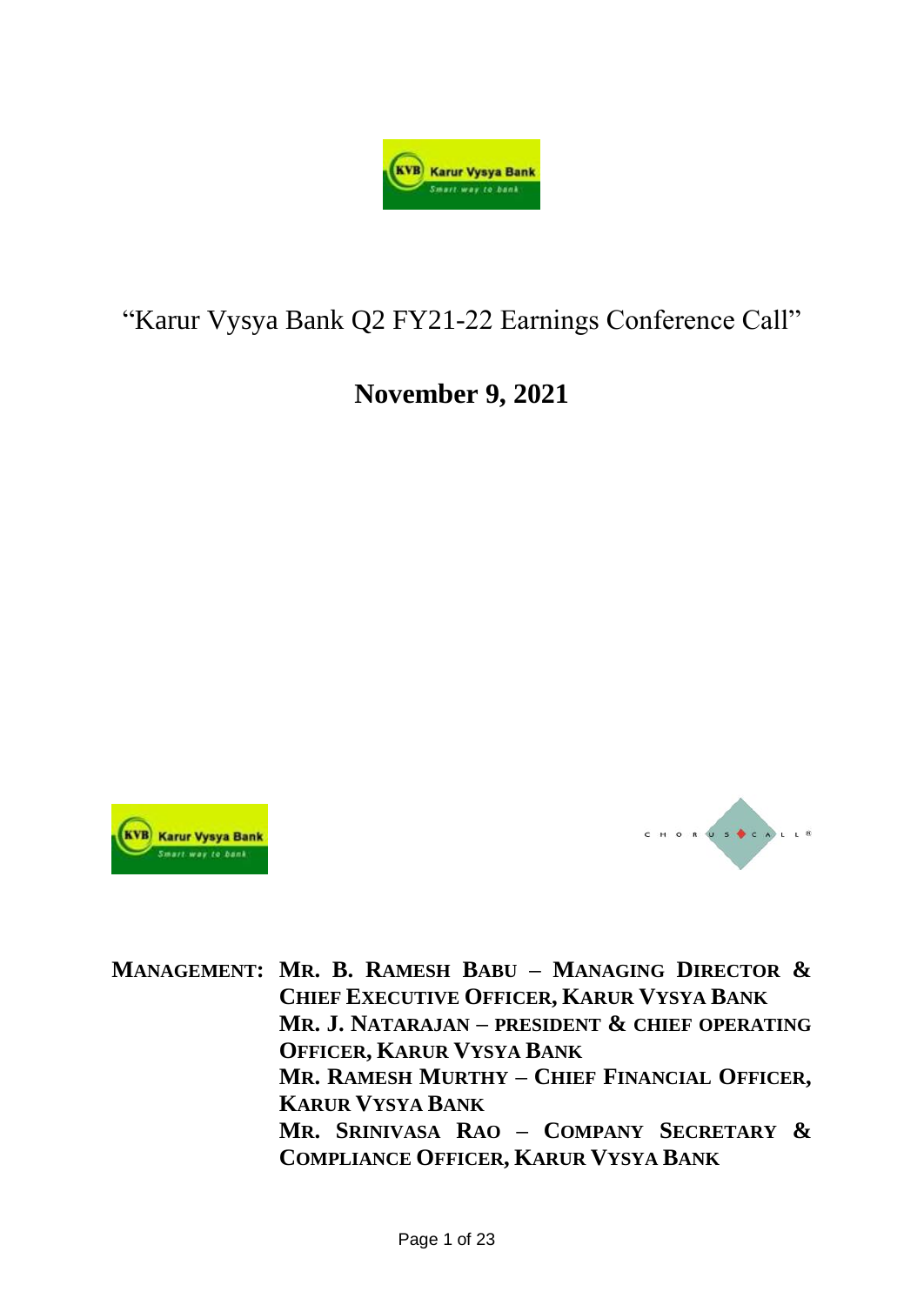

# "Karur Vysya Bank Q2 FY21-22 Earnings Conference Call"

# **November 9, 2021**





**MANAGEMENT: MR. B. RAMESH BABU – MANAGING DIRECTOR & CHIEF EXECUTIVE OFFICER, KARUR VYSYA BANK MR. J. NATARAJAN – PRESIDENT & CHIEF OPERATING OFFICER, KARUR VYSYA BANK MR. RAMESH MURTHY – CHIEF FINANCIAL OFFICER, KARUR VYSYA BANK MR. SRINIVASA RAO – COMPANY SECRETARY & COMPLIANCE OFFICER, KARUR VYSYA BANK**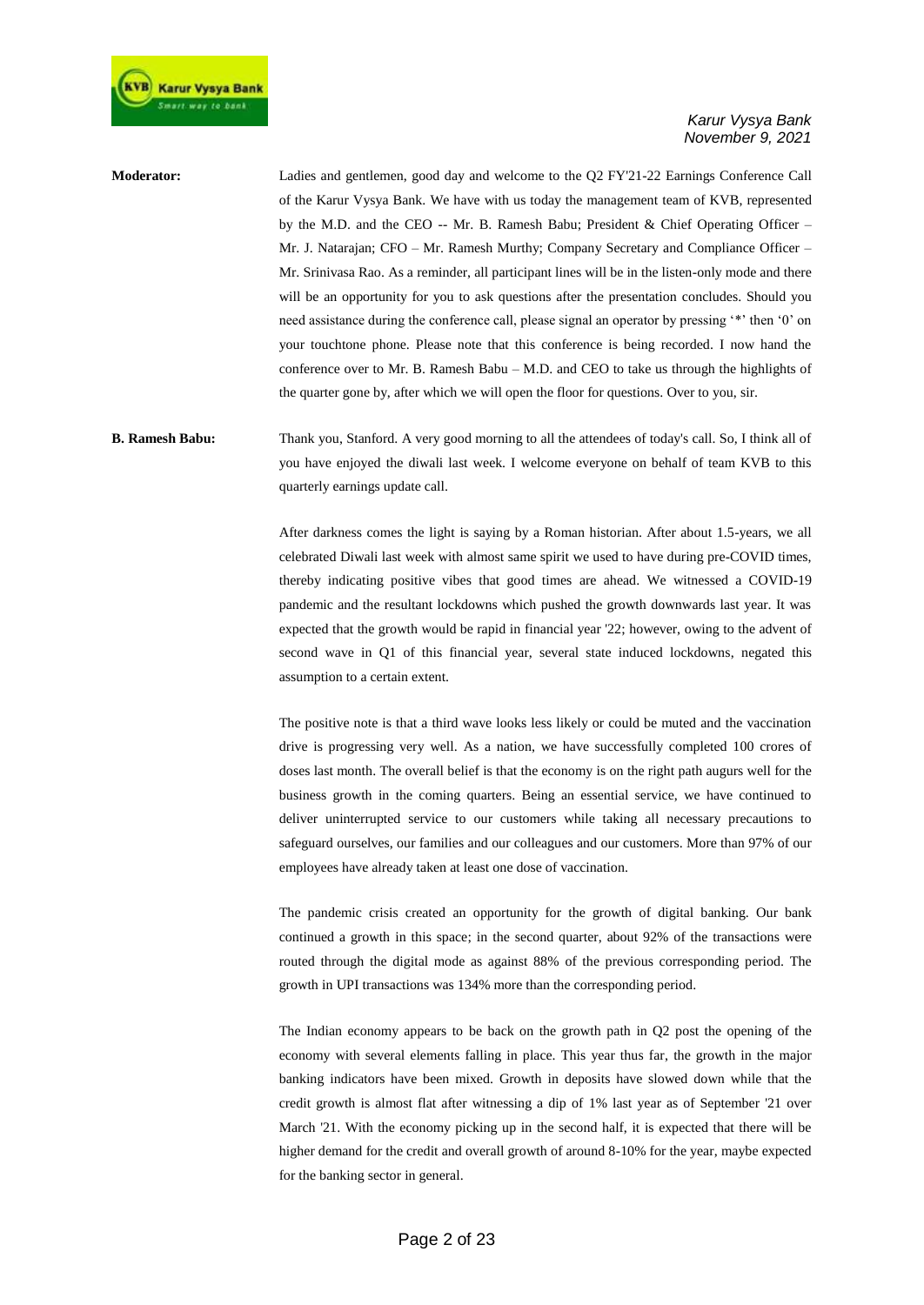

**Moderator:** Ladies and gentlemen, good day and welcome to the Q2 FY'21-22 Earnings Conference Call of the Karur Vysya Bank. We have with us today the management team of KVB, represented by the M.D. and the CEO -- Mr. B. Ramesh Babu; President & Chief Operating Officer – Mr. J. Natarajan; CFO – Mr. Ramesh Murthy; Company Secretary and Compliance Officer – Mr. Srinivasa Rao. As a reminder, all participant lines will be in the listen-only mode and there will be an opportunity for you to ask questions after the presentation concludes. Should you need assistance during the conference call, please signal an operator by pressing '\*' then '0' on your touchtone phone. Please note that this conference is being recorded. I now hand the conference over to Mr. B. Ramesh Babu – M.D. and CEO to take us through the highlights of the quarter gone by, after which we will open the floor for questions. Over to you, sir.

### **B. Ramesh Babu:** Thank you, Stanford. A very good morning to all the attendees of today's call. So, I think all of you have enjoyed the diwali last week. I welcome everyone on behalf of team KVB to this quarterly earnings update call.

After darkness comes the light is saying by a Roman historian. After about 1.5-years, we all celebrated Diwali last week with almost same spirit we used to have during pre-COVID times, thereby indicating positive vibes that good times are ahead. We witnessed a COVID-19 pandemic and the resultant lockdowns which pushed the growth downwards last year. It was expected that the growth would be rapid in financial year '22; however, owing to the advent of second wave in Q1 of this financial year, several state induced lockdowns, negated this assumption to a certain extent.

The positive note is that a third wave looks less likely or could be muted and the vaccination drive is progressing very well. As a nation, we have successfully completed 100 crores of doses last month. The overall belief is that the economy is on the right path augurs well for the business growth in the coming quarters. Being an essential service, we have continued to deliver uninterrupted service to our customers while taking all necessary precautions to safeguard ourselves, our families and our colleagues and our customers. More than 97% of our employees have already taken at least one dose of vaccination.

The pandemic crisis created an opportunity for the growth of digital banking. Our bank continued a growth in this space; in the second quarter, about 92% of the transactions were routed through the digital mode as against 88% of the previous corresponding period. The growth in UPI transactions was 134% more than the corresponding period.

The Indian economy appears to be back on the growth path in Q2 post the opening of the economy with several elements falling in place. This year thus far, the growth in the major banking indicators have been mixed. Growth in deposits have slowed down while that the credit growth is almost flat after witnessing a dip of 1% last year as of September '21 over March '21. With the economy picking up in the second half, it is expected that there will be higher demand for the credit and overall growth of around 8-10% for the year, maybe expected for the banking sector in general.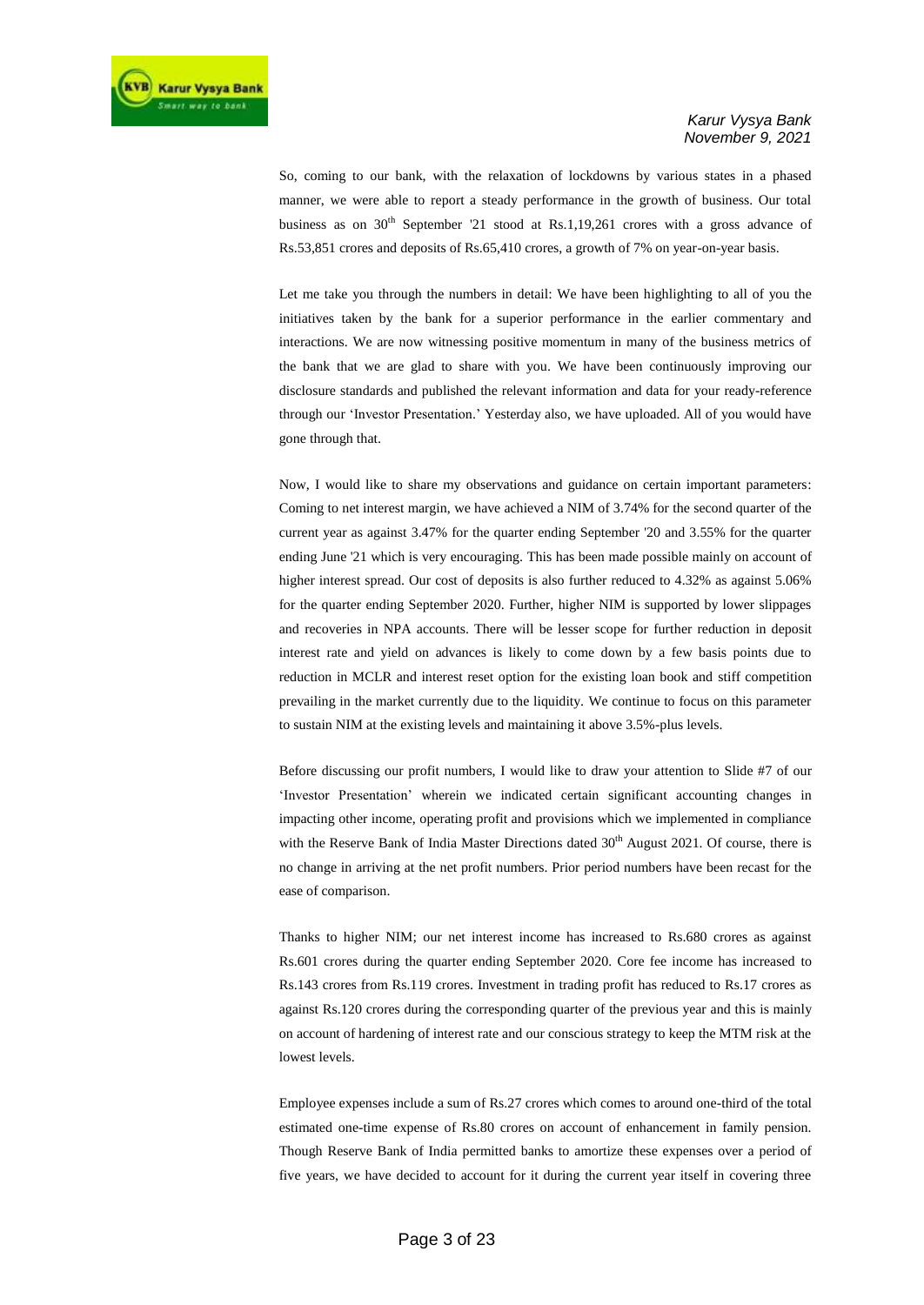So, coming to our bank, with the relaxation of lockdowns by various states in a phased manner, we were able to report a steady performance in the growth of business. Our total business as on  $30<sup>th</sup>$  September '21 stood at Rs.1,19,261 crores with a gross advance of Rs.53,851 crores and deposits of Rs.65,410 crores, a growth of 7% on year-on-year basis.

Let me take you through the numbers in detail: We have been highlighting to all of you the initiatives taken by the bank for a superior performance in the earlier commentary and interactions. We are now witnessing positive momentum in many of the business metrics of the bank that we are glad to share with you. We have been continuously improving our disclosure standards and published the relevant information and data for your ready-reference through our 'Investor Presentation.' Yesterday also, we have uploaded. All of you would have gone through that.

Now, I would like to share my observations and guidance on certain important parameters: Coming to net interest margin, we have achieved a NIM of 3.74% for the second quarter of the current year as against 3.47% for the quarter ending September '20 and 3.55% for the quarter ending June '21 which is very encouraging. This has been made possible mainly on account of higher interest spread. Our cost of deposits is also further reduced to 4.32% as against 5.06% for the quarter ending September 2020. Further, higher NIM is supported by lower slippages and recoveries in NPA accounts. There will be lesser scope for further reduction in deposit interest rate and yield on advances is likely to come down by a few basis points due to reduction in MCLR and interest reset option for the existing loan book and stiff competition prevailing in the market currently due to the liquidity. We continue to focus on this parameter to sustain NIM at the existing levels and maintaining it above 3.5%-plus levels.

Before discussing our profit numbers, I would like to draw your attention to Slide #7 of our 'Investor Presentation' wherein we indicated certain significant accounting changes in impacting other income, operating profit and provisions which we implemented in compliance with the Reserve Bank of India Master Directions dated 30<sup>th</sup> August 2021. Of course, there is no change in arriving at the net profit numbers. Prior period numbers have been recast for the ease of comparison.

Thanks to higher NIM; our net interest income has increased to Rs.680 crores as against Rs.601 crores during the quarter ending September 2020. Core fee income has increased to Rs.143 crores from Rs.119 crores. Investment in trading profit has reduced to Rs.17 crores as against Rs.120 crores during the corresponding quarter of the previous year and this is mainly on account of hardening of interest rate and our conscious strategy to keep the MTM risk at the lowest levels.

Employee expenses include a sum of Rs.27 crores which comes to around one-third of the total estimated one-time expense of Rs.80 crores on account of enhancement in family pension. Though Reserve Bank of India permitted banks to amortize these expenses over a period of five years, we have decided to account for it during the current year itself in covering three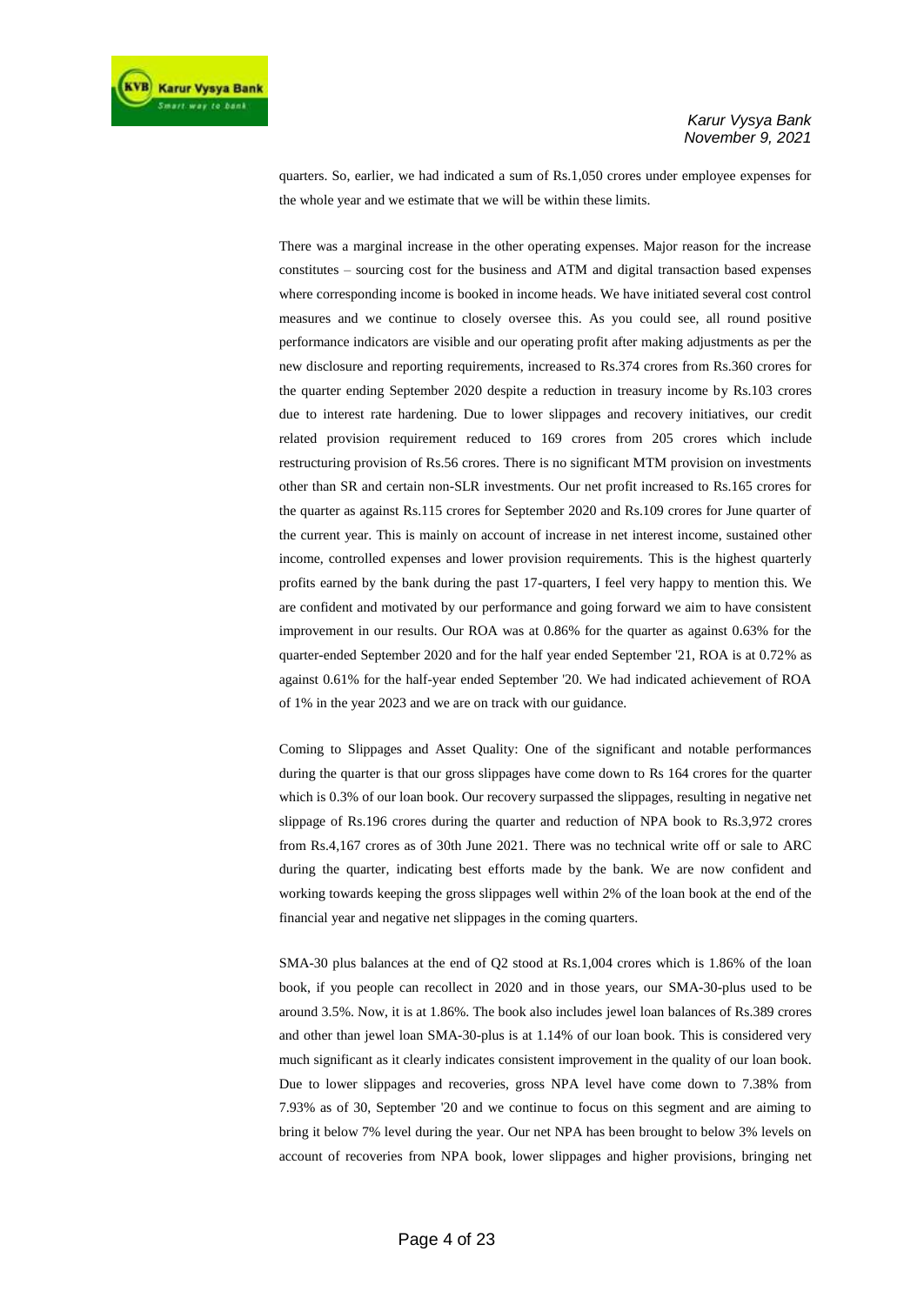quarters. So, earlier, we had indicated a sum of Rs.1,050 crores under employee expenses for the whole year and we estimate that we will be within these limits.

There was a marginal increase in the other operating expenses. Major reason for the increase constitutes – sourcing cost for the business and ATM and digital transaction based expenses where corresponding income is booked in income heads. We have initiated several cost control measures and we continue to closely oversee this. As you could see, all round positive performance indicators are visible and our operating profit after making adjustments as per the new disclosure and reporting requirements, increased to Rs.374 crores from Rs.360 crores for the quarter ending September 2020 despite a reduction in treasury income by Rs.103 crores due to interest rate hardening. Due to lower slippages and recovery initiatives, our credit related provision requirement reduced to 169 crores from 205 crores which include restructuring provision of Rs.56 crores. There is no significant MTM provision on investments other than SR and certain non-SLR investments. Our net profit increased to Rs.165 crores for the quarter as against Rs.115 crores for September 2020 and Rs.109 crores for June quarter of the current year. This is mainly on account of increase in net interest income, sustained other income, controlled expenses and lower provision requirements. This is the highest quarterly profits earned by the bank during the past 17-quarters, I feel very happy to mention this. We are confident and motivated by our performance and going forward we aim to have consistent improvement in our results. Our ROA was at 0.86% for the quarter as against 0.63% for the quarter-ended September 2020 and for the half year ended September '21, ROA is at 0.72% as against 0.61% for the half-year ended September '20. We had indicated achievement of ROA of 1% in the year 2023 and we are on track with our guidance.

Coming to Slippages and Asset Quality: One of the significant and notable performances during the quarter is that our gross slippages have come down to Rs 164 crores for the quarter which is 0.3% of our loan book. Our recovery surpassed the slippages, resulting in negative net slippage of Rs.196 crores during the quarter and reduction of NPA book to Rs.3,972 crores from Rs.4,167 crores as of 30th June 2021. There was no technical write off or sale to ARC during the quarter, indicating best efforts made by the bank. We are now confident and working towards keeping the gross slippages well within 2% of the loan book at the end of the financial year and negative net slippages in the coming quarters.

SMA-30 plus balances at the end of Q2 stood at Rs.1,004 crores which is 1.86% of the loan book, if you people can recollect in 2020 and in those years, our SMA-30-plus used to be around 3.5%. Now, it is at 1.86%. The book also includes jewel loan balances of Rs.389 crores and other than jewel loan SMA-30-plus is at 1.14% of our loan book. This is considered very much significant as it clearly indicates consistent improvement in the quality of our loan book. Due to lower slippages and recoveries, gross NPA level have come down to 7.38% from 7.93% as of 30, September '20 and we continue to focus on this segment and are aiming to bring it below 7% level during the year. Our net NPA has been brought to below 3% levels on account of recoveries from NPA book, lower slippages and higher provisions, bringing net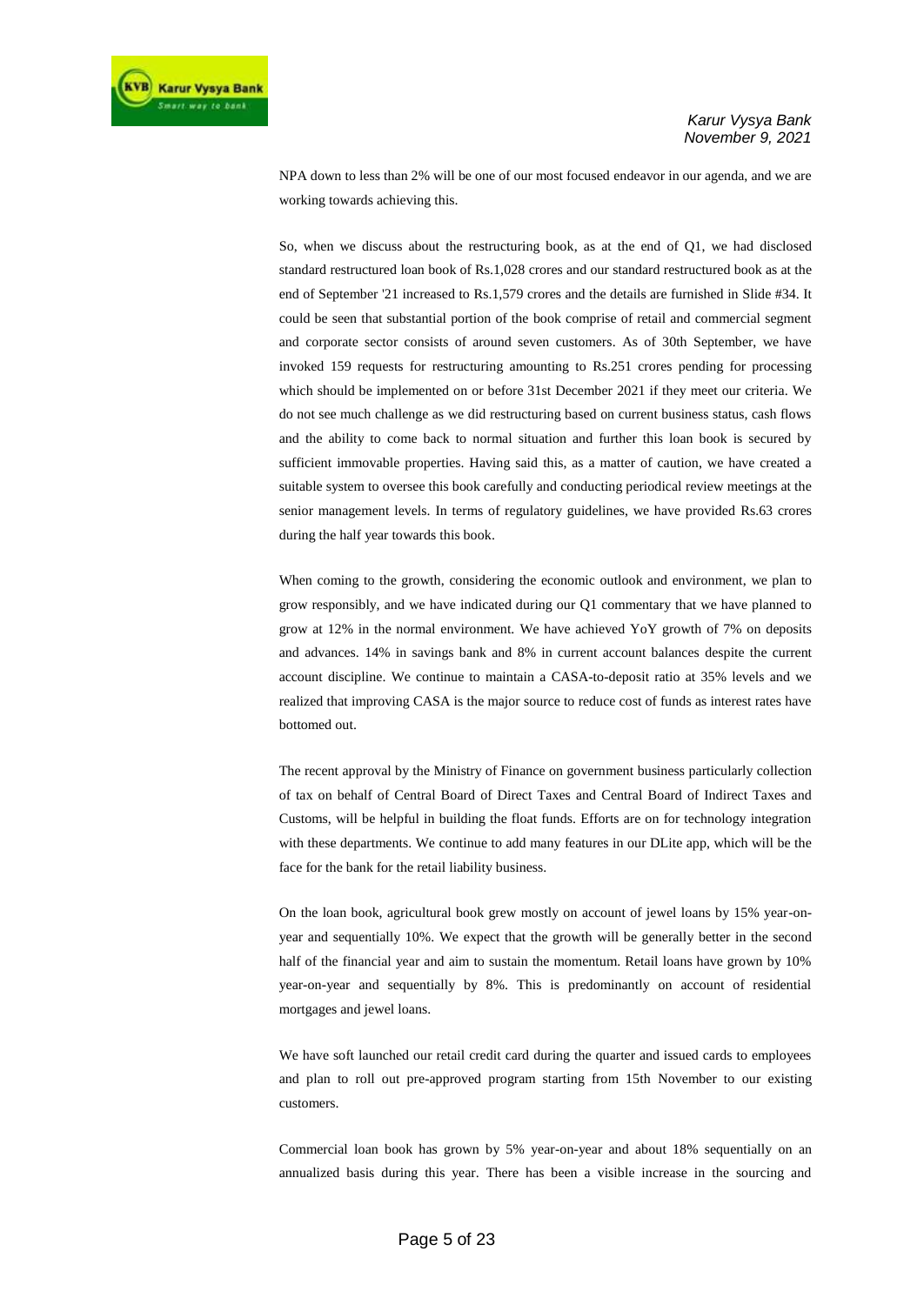NPA down to less than 2% will be one of our most focused endeavor in our agenda, and we are working towards achieving this.

So, when we discuss about the restructuring book, as at the end of Q1, we had disclosed standard restructured loan book of Rs.1,028 crores and our standard restructured book as at the end of September '21 increased to Rs.1,579 crores and the details are furnished in Slide #34. It could be seen that substantial portion of the book comprise of retail and commercial segment and corporate sector consists of around seven customers. As of 30th September, we have invoked 159 requests for restructuring amounting to Rs.251 crores pending for processing which should be implemented on or before 31st December 2021 if they meet our criteria. We do not see much challenge as we did restructuring based on current business status, cash flows and the ability to come back to normal situation and further this loan book is secured by sufficient immovable properties. Having said this, as a matter of caution, we have created a suitable system to oversee this book carefully and conducting periodical review meetings at the senior management levels. In terms of regulatory guidelines, we have provided Rs.63 crores during the half year towards this book.

When coming to the growth, considering the economic outlook and environment, we plan to grow responsibly, and we have indicated during our Q1 commentary that we have planned to grow at 12% in the normal environment. We have achieved YoY growth of 7% on deposits and advances. 14% in savings bank and 8% in current account balances despite the current account discipline. We continue to maintain a CASA-to-deposit ratio at 35% levels and we realized that improving CASA is the major source to reduce cost of funds as interest rates have bottomed out.

The recent approval by the Ministry of Finance on government business particularly collection of tax on behalf of Central Board of Direct Taxes and Central Board of Indirect Taxes and Customs, will be helpful in building the float funds. Efforts are on for technology integration with these departments. We continue to add many features in our DLite app, which will be the face for the bank for the retail liability business.

On the loan book, agricultural book grew mostly on account of jewel loans by 15% year-onyear and sequentially 10%. We expect that the growth will be generally better in the second half of the financial year and aim to sustain the momentum. Retail loans have grown by 10% year-on-year and sequentially by 8%. This is predominantly on account of residential mortgages and jewel loans.

We have soft launched our retail credit card during the quarter and issued cards to employees and plan to roll out pre-approved program starting from 15th November to our existing customers.

Commercial loan book has grown by 5% year-on-year and about 18% sequentially on an annualized basis during this year. There has been a visible increase in the sourcing and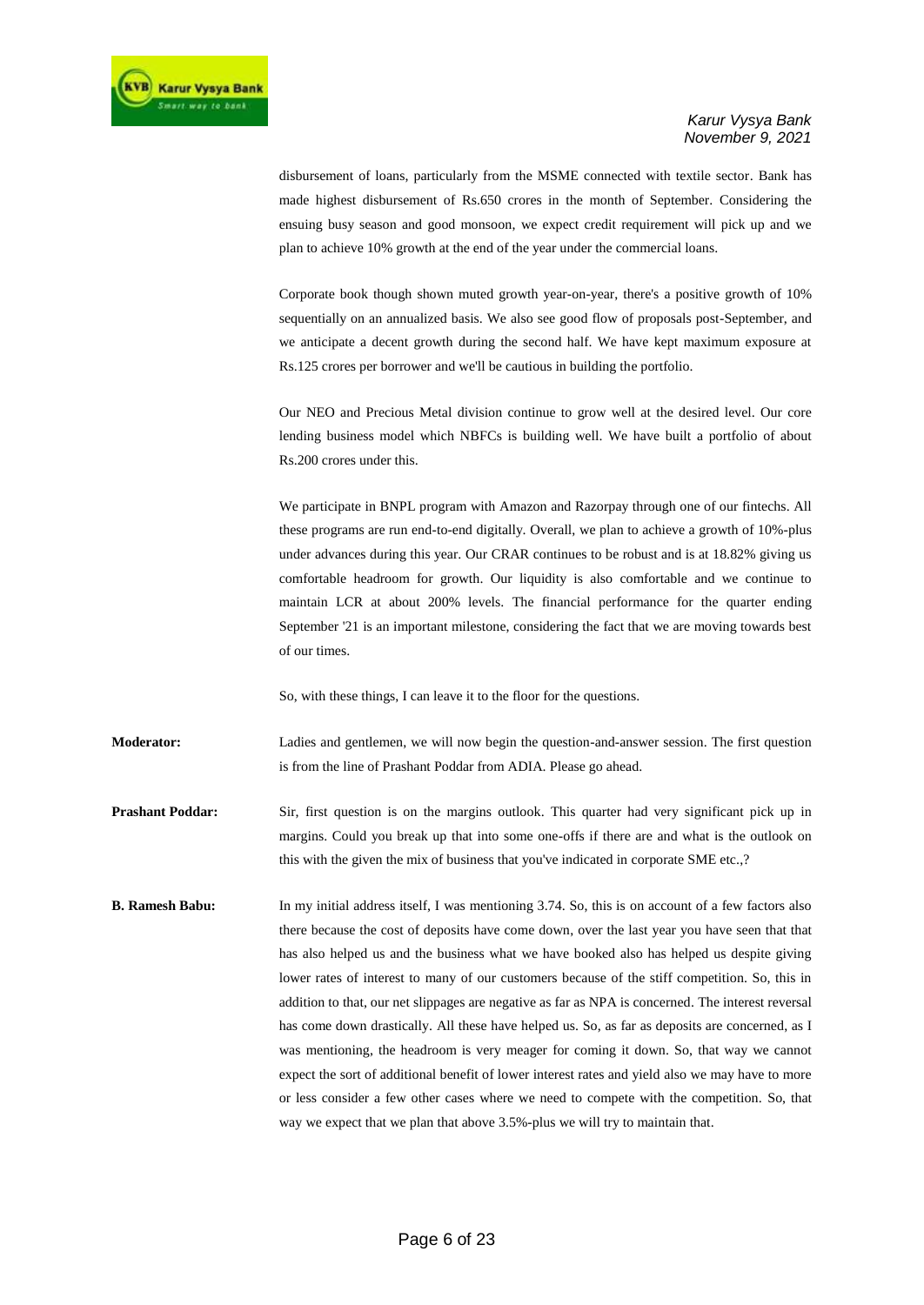disbursement of loans, particularly from the MSME connected with textile sector. Bank has made highest disbursement of Rs.650 crores in the month of September. Considering the ensuing busy season and good monsoon, we expect credit requirement will pick up and we plan to achieve 10% growth at the end of the year under the commercial loans.

Corporate book though shown muted growth year-on-year, there's a positive growth of 10% sequentially on an annualized basis. We also see good flow of proposals post-September, and we anticipate a decent growth during the second half. We have kept maximum exposure at Rs.125 crores per borrower and we'll be cautious in building the portfolio.

Our NEO and Precious Metal division continue to grow well at the desired level. Our core lending business model which NBFCs is building well. We have built a portfolio of about Rs.200 crores under this.

We participate in BNPL program with Amazon and Razorpay through one of our fintechs. All these programs are run end-to-end digitally. Overall, we plan to achieve a growth of 10%-plus under advances during this year. Our CRAR continues to be robust and is at 18.82% giving us comfortable headroom for growth. Our liquidity is also comfortable and we continue to maintain LCR at about 200% levels. The financial performance for the quarter ending September '21 is an important milestone, considering the fact that we are moving towards best of our times.

So, with these things, I can leave it to the floor for the questions.

**Moderator:** Ladies and gentlemen, we will now begin the question-and-answer session. The first question is from the line of Prashant Poddar from ADIA. Please go ahead.

**Prashant Poddar:** Sir, first question is on the margins outlook. This quarter had very significant pick up in margins. Could you break up that into some one-offs if there are and what is the outlook on this with the given the mix of business that you've indicated in corporate SME etc.,?

**B. Ramesh Babu:** In my initial address itself, I was mentioning 3.74. So, this is on account of a few factors also there because the cost of deposits have come down, over the last year you have seen that that has also helped us and the business what we have booked also has helped us despite giving lower rates of interest to many of our customers because of the stiff competition. So, this in addition to that, our net slippages are negative as far as NPA is concerned. The interest reversal has come down drastically. All these have helped us. So, as far as deposits are concerned, as I was mentioning, the headroom is very meager for coming it down. So, that way we cannot expect the sort of additional benefit of lower interest rates and yield also we may have to more or less consider a few other cases where we need to compete with the competition. So, that way we expect that we plan that above 3.5%-plus we will try to maintain that.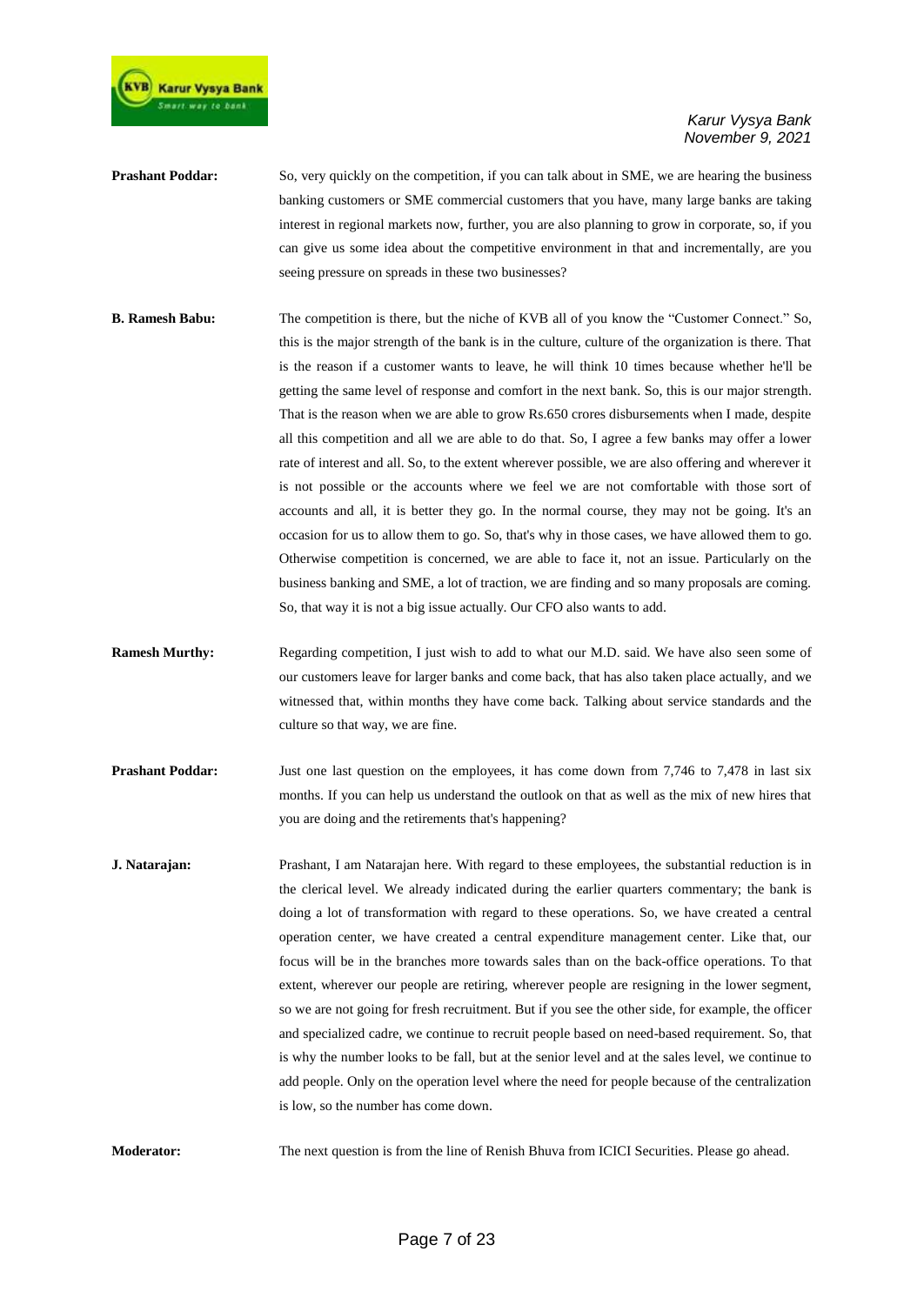

- **Prashant Poddar:** So, very quickly on the competition, if you can talk about in SME, we are hearing the business banking customers or SME commercial customers that you have, many large banks are taking interest in regional markets now, further, you are also planning to grow in corporate, so, if you can give us some idea about the competitive environment in that and incrementally, are you seeing pressure on spreads in these two businesses?
- **B. Ramesh Babu:** The competition is there, but the niche of KVB all of you know the "Customer Connect." So, this is the major strength of the bank is in the culture, culture of the organization is there. That is the reason if a customer wants to leave, he will think 10 times because whether he'll be getting the same level of response and comfort in the next bank. So, this is our major strength. That is the reason when we are able to grow Rs.650 crores disbursements when I made, despite all this competition and all we are able to do that. So, I agree a few banks may offer a lower rate of interest and all. So, to the extent wherever possible, we are also offering and wherever it is not possible or the accounts where we feel we are not comfortable with those sort of accounts and all, it is better they go. In the normal course, they may not be going. It's an occasion for us to allow them to go. So, that's why in those cases, we have allowed them to go. Otherwise competition is concerned, we are able to face it, not an issue. Particularly on the business banking and SME, a lot of traction, we are finding and so many proposals are coming. So, that way it is not a big issue actually. Our CFO also wants to add.
- **Ramesh Murthy:** Regarding competition, I just wish to add to what our M.D. said. We have also seen some of our customers leave for larger banks and come back, that has also taken place actually, and we witnessed that, within months they have come back. Talking about service standards and the culture so that way, we are fine.
- **Prashant Poddar:** Just one last question on the employees, it has come down from 7,746 to 7,478 in last six months. If you can help us understand the outlook on that as well as the mix of new hires that you are doing and the retirements that's happening?
- **J. Natarajan:** Prashant, I am Natarajan here. With regard to these employees, the substantial reduction is in the clerical level. We already indicated during the earlier quarters commentary; the bank is doing a lot of transformation with regard to these operations. So, we have created a central operation center, we have created a central expenditure management center. Like that, our focus will be in the branches more towards sales than on the back-office operations. To that extent, wherever our people are retiring, wherever people are resigning in the lower segment, so we are not going for fresh recruitment. But if you see the other side, for example, the officer and specialized cadre, we continue to recruit people based on need-based requirement. So, that is why the number looks to be fall, but at the senior level and at the sales level, we continue to add people. Only on the operation level where the need for people because of the centralization is low, so the number has come down.

**Moderator:** The next question is from the line of Renish Bhuva from ICICI Securities. Please go ahead.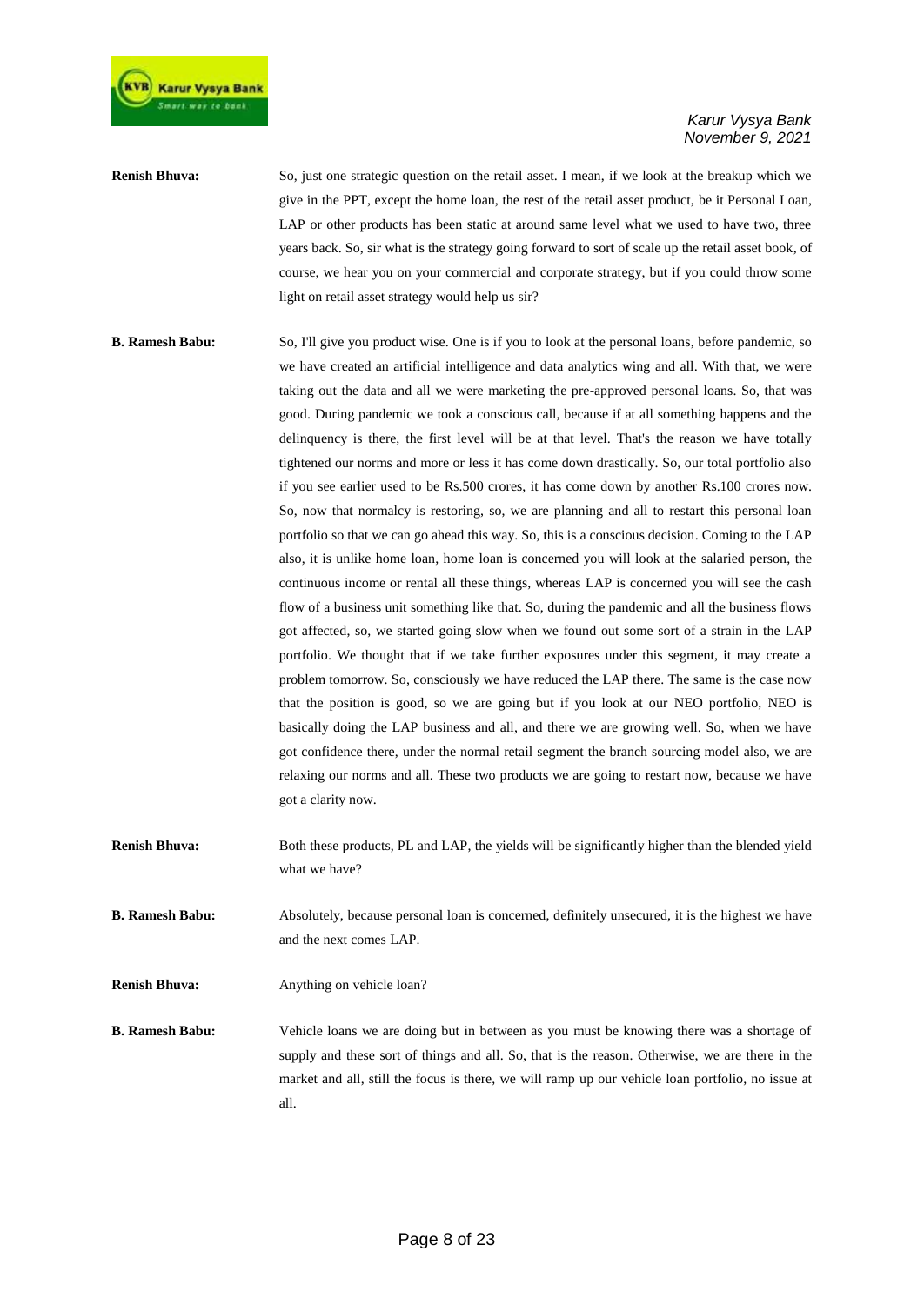

## **Renish Bhuva:** So, just one strategic question on the retail asset. I mean, if we look at the breakup which we give in the PPT, except the home loan, the rest of the retail asset product, be it Personal Loan, LAP or other products has been static at around same level what we used to have two, three years back. So, sir what is the strategy going forward to sort of scale up the retail asset book, of course, we hear you on your commercial and corporate strategy, but if you could throw some light on retail asset strategy would help us sir?

- **B. Ramesh Babu:** So, I'll give you product wise. One is if you to look at the personal loans, before pandemic, so we have created an artificial intelligence and data analytics wing and all. With that, we were taking out the data and all we were marketing the pre-approved personal loans. So, that was good. During pandemic we took a conscious call, because if at all something happens and the delinquency is there, the first level will be at that level. That's the reason we have totally tightened our norms and more or less it has come down drastically. So, our total portfolio also if you see earlier used to be Rs.500 crores, it has come down by another Rs.100 crores now. So, now that normalcy is restoring, so, we are planning and all to restart this personal loan portfolio so that we can go ahead this way. So, this is a conscious decision. Coming to the LAP also, it is unlike home loan, home loan is concerned you will look at the salaried person, the continuous income or rental all these things, whereas LAP is concerned you will see the cash flow of a business unit something like that. So, during the pandemic and all the business flows got affected, so, we started going slow when we found out some sort of a strain in the LAP portfolio. We thought that if we take further exposures under this segment, it may create a problem tomorrow. So, consciously we have reduced the LAP there. The same is the case now that the position is good, so we are going but if you look at our NEO portfolio, NEO is basically doing the LAP business and all, and there we are growing well. So, when we have got confidence there, under the normal retail segment the branch sourcing model also, we are relaxing our norms and all. These two products we are going to restart now, because we have got a clarity now.
- **Renish Bhuva:** Both these products, PL and LAP, the yields will be significantly higher than the blended yield what we have?
- **B. Ramesh Babu:** Absolutely, because personal loan is concerned, definitely unsecured, it is the highest we have and the next comes LAP.

**Renish Bhuva:** Anything on vehicle loan?

**B. Ramesh Babu:** Vehicle loans we are doing but in between as you must be knowing there was a shortage of supply and these sort of things and all. So, that is the reason. Otherwise, we are there in the market and all, still the focus is there, we will ramp up our vehicle loan portfolio, no issue at all.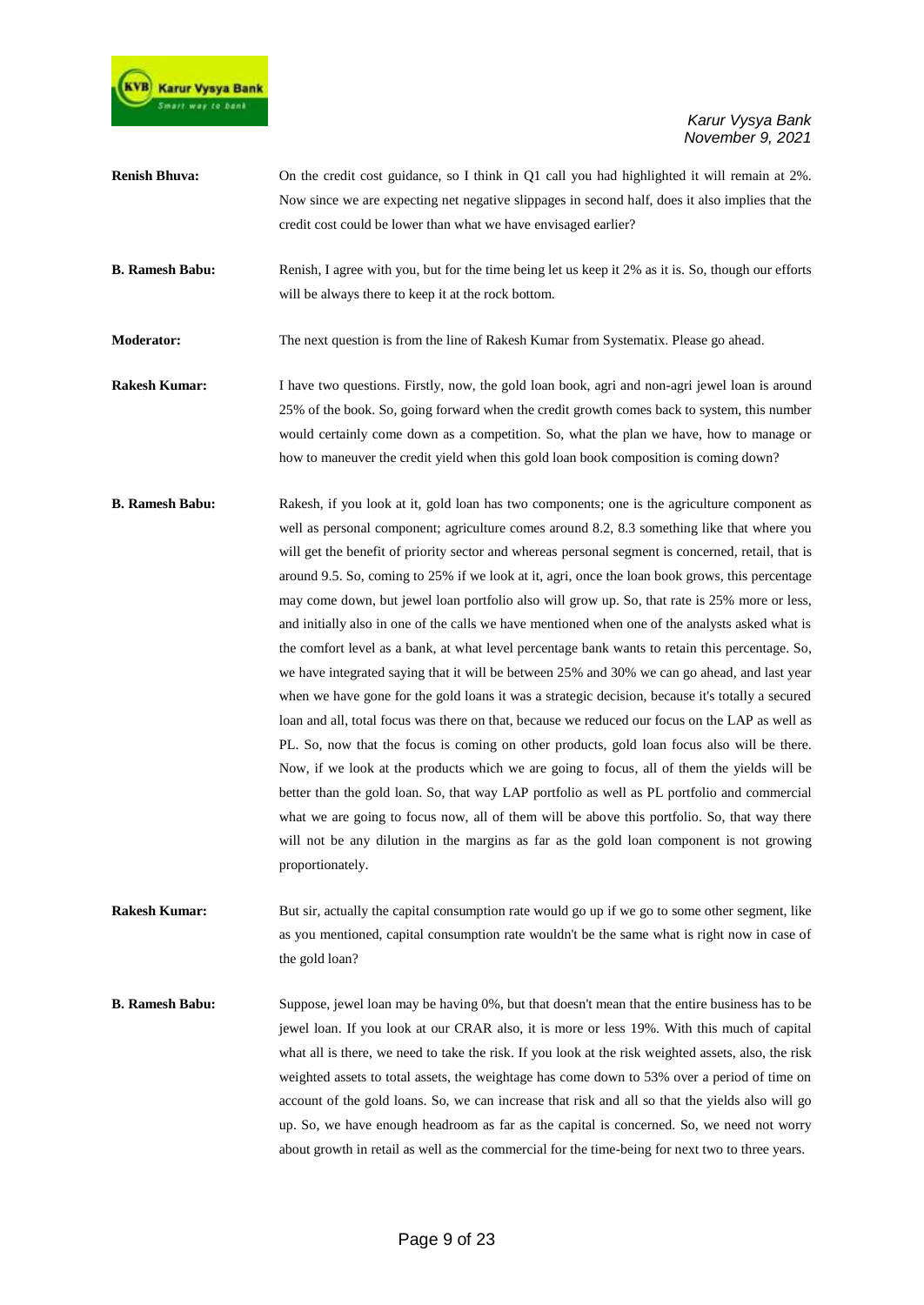

| <b>Renish Bhuva:</b>   | On the credit cost guidance, so I think in Q1 call you had highlighted it will remain at 2%.        |
|------------------------|-----------------------------------------------------------------------------------------------------|
|                        | Now since we are expecting net negative slippages in second half, does it also implies that the     |
|                        | credit cost could be lower than what we have envisaged earlier?                                     |
| <b>B. Ramesh Babu:</b> | Renish, I agree with you, but for the time being let us keep it 2% as it is. So, though our efforts |
|                        | will be always there to keep it at the rock bottom.                                                 |
| <b>Moderator:</b>      | The next question is from the line of Rakesh Kumar from Systematix. Please go ahead.                |
| <b>Rakesh Kumar:</b>   | I have two questions. Firstly, now, the gold loan book, agri and non-agri jewel loan is around      |
|                        | 25% of the book. So, going forward when the credit growth comes back to system, this number         |
|                        | would certainly come down as a competition. So, what the plan we have, how to manage or             |
|                        | how to maneuver the credit yield when this gold loan book composition is coming down?               |
| <b>B.</b> Ramesh Babu: | Rakesh, if you look at it, gold loan has two components; one is the agriculture component as        |
|                        | well as personal component; agriculture comes around 8.2, 8.3 something like that where you         |

well as personal component; agriculture comes around 8.2, 8.3 something like that where you will get the benefit of priority sector and whereas personal segment is concerned, retail, that is around 9.5. So, coming to 25% if we look at it, agri, once the loan book grows, this percentage may come down, but jewel loan portfolio also will grow up. So, that rate is 25% more or less, and initially also in one of the calls we have mentioned when one of the analysts asked what is the comfort level as a bank, at what level percentage bank wants to retain this percentage. So, we have integrated saying that it will be between 25% and 30% we can go ahead, and last year when we have gone for the gold loans it was a strategic decision, because it's totally a secured loan and all, total focus was there on that, because we reduced our focus on the LAP as well as PL. So, now that the focus is coming on other products, gold loan focus also will be there. Now, if we look at the products which we are going to focus, all of them the yields will be better than the gold loan. So, that way LAP portfolio as well as PL portfolio and commercial what we are going to focus now, all of them will be above this portfolio. So, that way there will not be any dilution in the margins as far as the gold loan component is not growing proportionately.

**Rakesh Kumar:** But sir, actually the capital consumption rate would go up if we go to some other segment, like as you mentioned, capital consumption rate wouldn't be the same what is right now in case of the gold loan?

**B. Ramesh Babu:** Suppose, jewel loan may be having 0%, but that doesn't mean that the entire business has to be jewel loan. If you look at our CRAR also, it is more or less 19%. With this much of capital what all is there, we need to take the risk. If you look at the risk weighted assets, also, the risk weighted assets to total assets, the weightage has come down to 53% over a period of time on account of the gold loans. So, we can increase that risk and all so that the yields also will go up. So, we have enough headroom as far as the capital is concerned. So, we need not worry about growth in retail as well as the commercial for the time-being for next two to three years.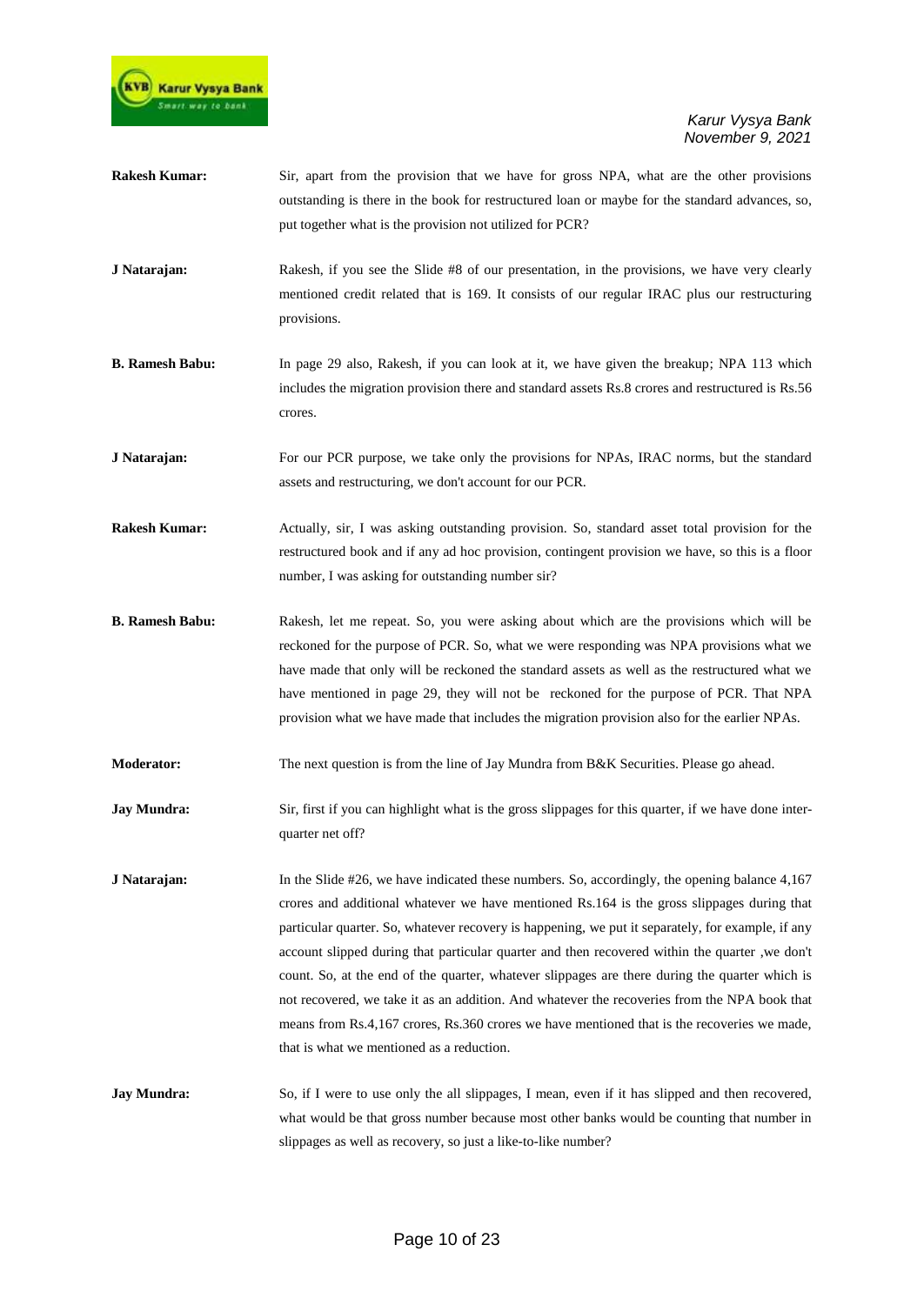

- **Rakesh Kumar:** Sir, apart from the provision that we have for gross NPA, what are the other provisions outstanding is there in the book for restructured loan or maybe for the standard advances, so, put together what is the provision not utilized for PCR?
- **J Natarajan:** Rakesh, if you see the Slide #8 of our presentation, in the provisions, we have very clearly mentioned credit related that is 169. It consists of our regular IRAC plus our restructuring provisions.
- **B. Ramesh Babu:** In page 29 also, Rakesh, if you can look at it, we have given the breakup; NPA 113 which includes the migration provision there and standard assets Rs.8 crores and restructured is Rs.56 crores.
- **J Natarajan:** For our PCR purpose, we take only the provisions for NPAs, IRAC norms, but the standard assets and restructuring, we don't account for our PCR.
- **Rakesh Kumar:** Actually, sir, I was asking outstanding provision. So, standard asset total provision for the restructured book and if any ad hoc provision, contingent provision we have, so this is a floor number, I was asking for outstanding number sir?
- **B. Ramesh Babu:** Rakesh, let me repeat. So, you were asking about which are the provisions which will be reckoned for the purpose of PCR. So, what we were responding was NPA provisions what we have made that only will be reckoned the standard assets as well as the restructured what we have mentioned in page 29, they will not be reckoned for the purpose of PCR. That NPA provision what we have made that includes the migration provision also for the earlier NPAs.
- **Moderator:** The next question is from the line of Jay Mundra from B&K Securities. Please go ahead.
- **Jay Mundra:** Sir, first if you can highlight what is the gross slippages for this quarter, if we have done interquarter net off?
- **J Natarajan:** In the Slide #26, we have indicated these numbers. So, accordingly, the opening balance 4,167 crores and additional whatever we have mentioned Rs.164 is the gross slippages during that particular quarter. So, whatever recovery is happening, we put it separately, for example, if any account slipped during that particular quarter and then recovered within the quarter ,we don't count. So, at the end of the quarter, whatever slippages are there during the quarter which is not recovered, we take it as an addition. And whatever the recoveries from the NPA book that means from Rs.4,167 crores, Rs.360 crores we have mentioned that is the recoveries we made, that is what we mentioned as a reduction.
- **Jay Mundra:** So, if I were to use only the all slippages, I mean, even if it has slipped and then recovered, what would be that gross number because most other banks would be counting that number in slippages as well as recovery, so just a like-to-like number?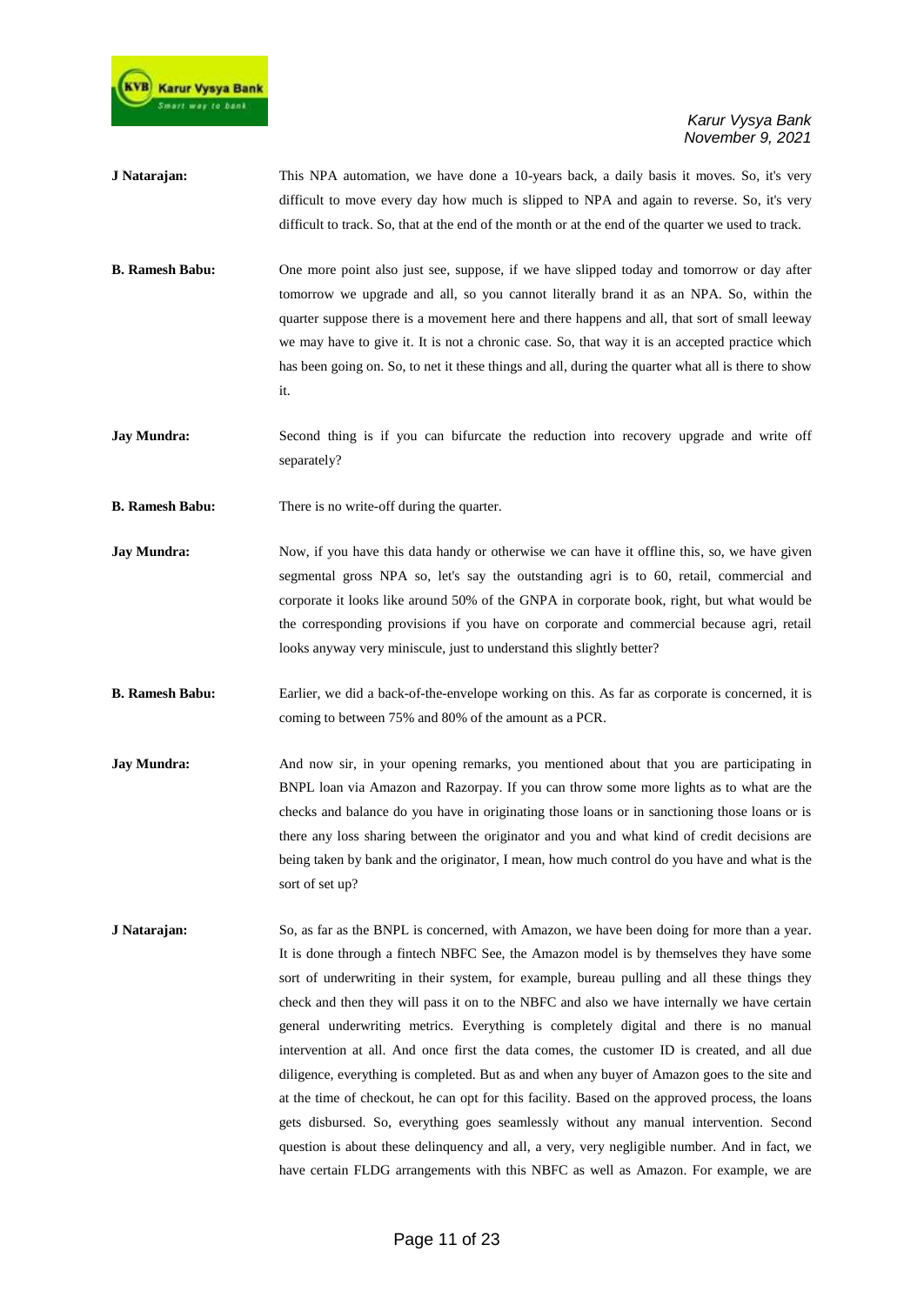

- **J Natarajan:** This NPA automation, we have done a 10-years back, a daily basis it moves. So, it's very difficult to move every day how much is slipped to NPA and again to reverse. So, it's very difficult to track. So, that at the end of the month or at the end of the quarter we used to track.
- **B. Ramesh Babu:** One more point also just see, suppose, if we have slipped today and tomorrow or day after tomorrow we upgrade and all, so you cannot literally brand it as an NPA. So, within the quarter suppose there is a movement here and there happens and all, that sort of small leeway we may have to give it. It is not a chronic case. So, that way it is an accepted practice which has been going on. So, to net it these things and all, during the quarter what all is there to show it.
- **Jay Mundra:** Second thing is if you can bifurcate the reduction into recovery upgrade and write off separately?
- **B. Ramesh Babu:** There is no write-off during the quarter.
- **Jay Mundra:** Now, if you have this data handy or otherwise we can have it offline this, so, we have given segmental gross NPA so, let's say the outstanding agri is to 60, retail, commercial and corporate it looks like around 50% of the GNPA in corporate book, right, but what would be the corresponding provisions if you have on corporate and commercial because agri, retail looks anyway very miniscule, just to understand this slightly better?
- **B. Ramesh Babu:** Earlier, we did a back-of-the-envelope working on this. As far as corporate is concerned, it is coming to between 75% and 80% of the amount as a PCR.
- **Jay Mundra:** And now sir, in your opening remarks, you mentioned about that you are participating in BNPL loan via Amazon and Razorpay. If you can throw some more lights as to what are the checks and balance do you have in originating those loans or in sanctioning those loans or is there any loss sharing between the originator and you and what kind of credit decisions are being taken by bank and the originator, I mean, how much control do you have and what is the sort of set up?
- **J Natarajan:** So, as far as the BNPL is concerned, with Amazon, we have been doing for more than a year. It is done through a fintech NBFC See, the Amazon model is by themselves they have some sort of underwriting in their system, for example, bureau pulling and all these things they check and then they will pass it on to the NBFC and also we have internally we have certain general underwriting metrics. Everything is completely digital and there is no manual intervention at all. And once first the data comes, the customer ID is created, and all due diligence, everything is completed. But as and when any buyer of Amazon goes to the site and at the time of checkout, he can opt for this facility. Based on the approved process, the loans gets disbursed. So, everything goes seamlessly without any manual intervention. Second question is about these delinquency and all, a very, very negligible number. And in fact, we have certain FLDG arrangements with this NBFC as well as Amazon. For example, we are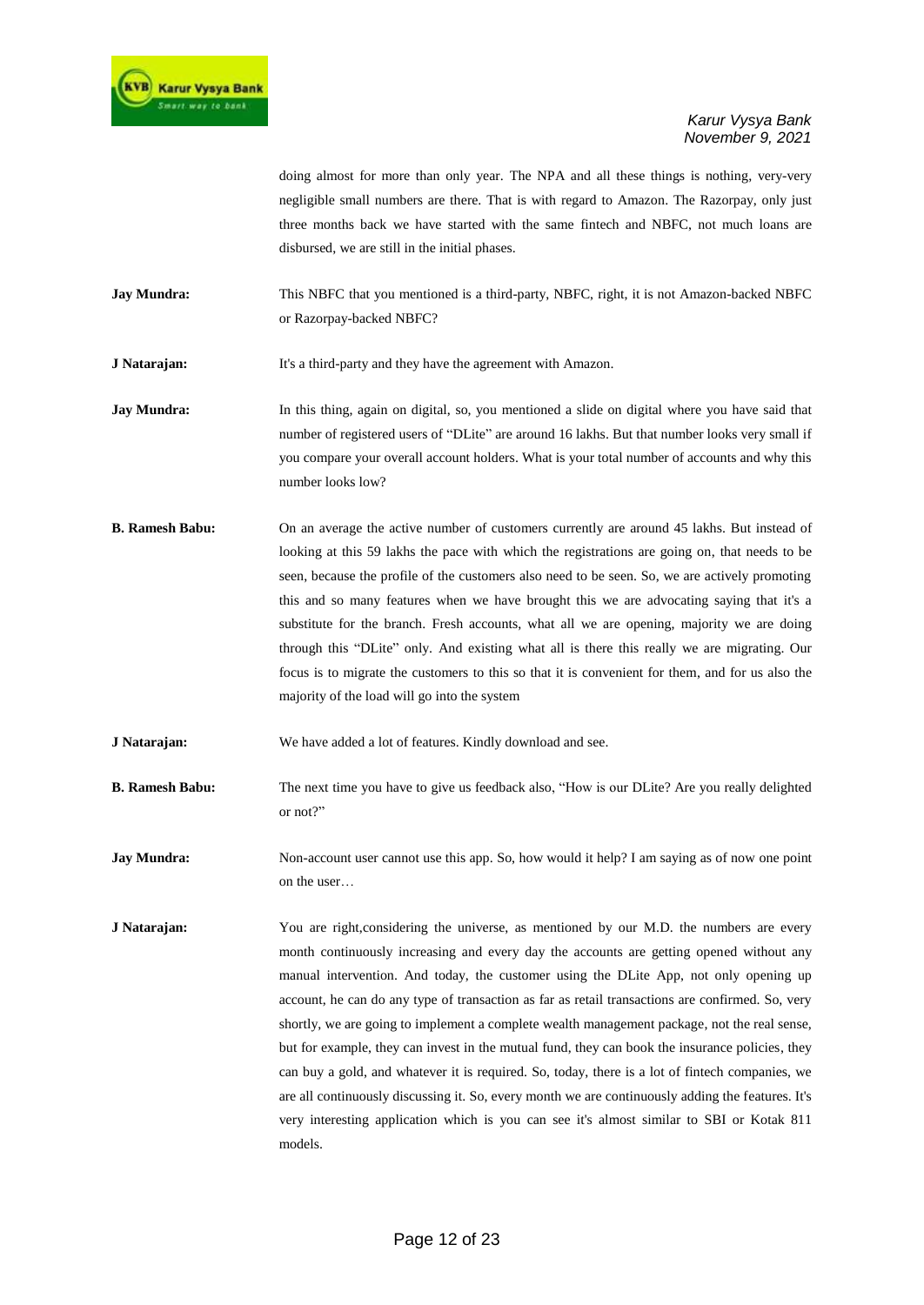doing almost for more than only year. The NPA and all these things is nothing, very-very negligible small numbers are there. That is with regard to Amazon. The Razorpay, only just three months back we have started with the same fintech and NBFC, not much loans are disbursed, we are still in the initial phases.

**Jay Mundra:** This NBFC that you mentioned is a third-party, NBFC, right, it is not Amazon-backed NBFC or Razorpay-backed NBFC?

**J Natarajan:** It's a third-party and they have the agreement with Amazon.

**Jay Mundra:** In this thing, again on digital, so, you mentioned a slide on digital where you have said that number of registered users of "DLite" are around 16 lakhs. But that number looks very small if you compare your overall account holders. What is your total number of accounts and why this number looks low?

**B. Ramesh Babu:** On an average the active number of customers currently are around 45 lakhs. But instead of looking at this 59 lakhs the pace with which the registrations are going on, that needs to be seen, because the profile of the customers also need to be seen. So, we are actively promoting this and so many features when we have brought this we are advocating saying that it's a substitute for the branch. Fresh accounts, what all we are opening, majority we are doing through this "DLite" only. And existing what all is there this really we are migrating. Our focus is to migrate the customers to this so that it is convenient for them, and for us also the majority of the load will go into the system

**J Natarajan:** We have added a lot of features. Kindly download and see.

**B. Ramesh Babu:** The next time you have to give us feedback also, "How is our DLite? Are you really delighted or not?"

**Jay Mundra:** Non-account user cannot use this app. So, how would it help? I am saying as of now one point on the user…

**J Natarajan:** You are right,considering the universe, as mentioned by our M.D. the numbers are every month continuously increasing and every day the accounts are getting opened without any manual intervention. And today, the customer using the DLite App, not only opening up account, he can do any type of transaction as far as retail transactions are confirmed. So, very shortly, we are going to implement a complete wealth management package, not the real sense, but for example, they can invest in the mutual fund, they can book the insurance policies, they can buy a gold, and whatever it is required. So, today, there is a lot of fintech companies, we are all continuously discussing it. So, every month we are continuously adding the features. It's very interesting application which is you can see it's almost similar to SBI or Kotak 811 models.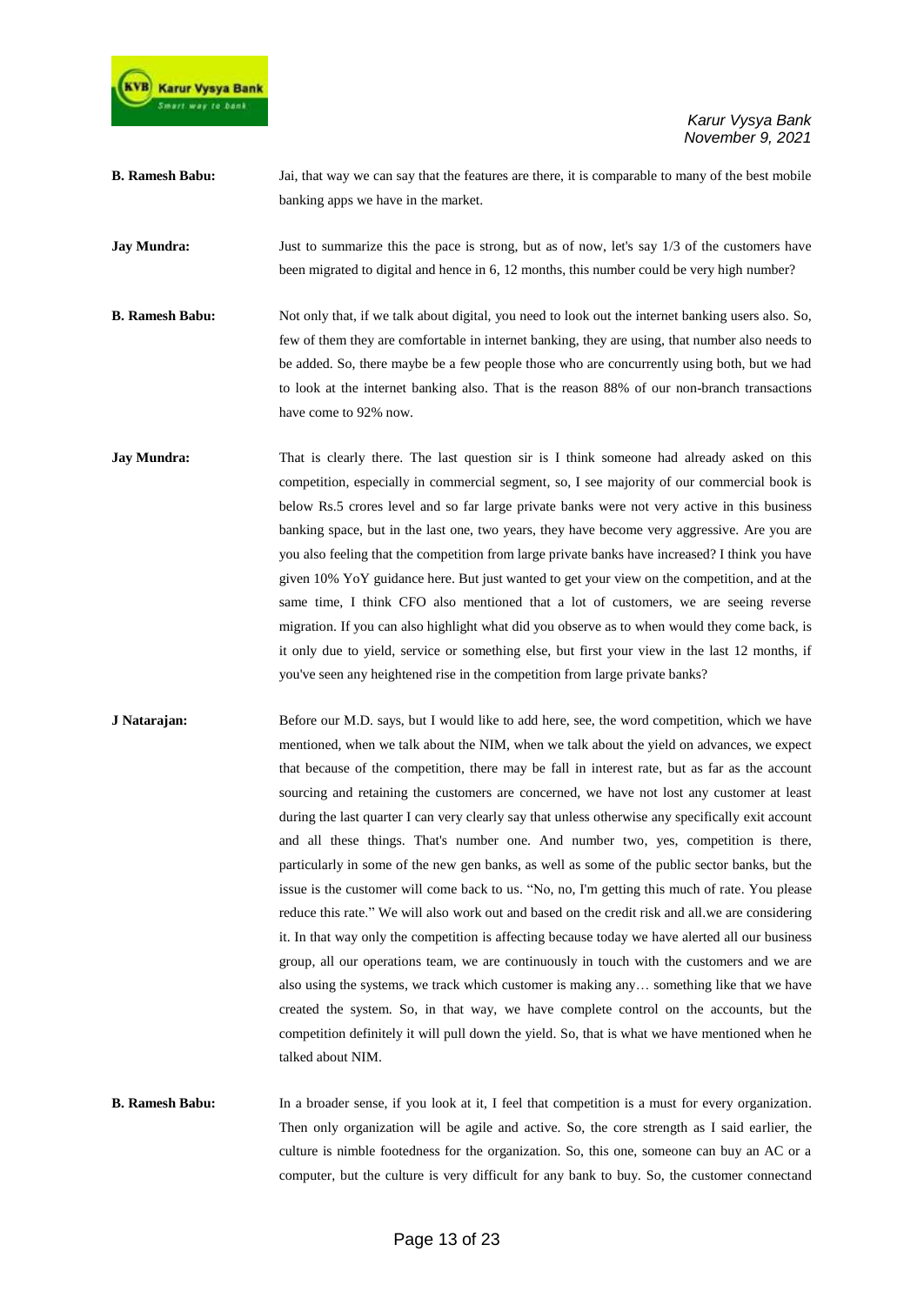

**B. Ramesh Babu:** Jai, that way we can say that the features are there, it is comparable to many of the best mobile banking apps we have in the market.

**Jay Mundra:** Just to summarize this the pace is strong, but as of now, let's say 1/3 of the customers have been migrated to digital and hence in 6, 12 months, this number could be very high number?

**B. Ramesh Babu:** Not only that, if we talk about digital, you need to look out the internet banking users also. So, few of them they are comfortable in internet banking, they are using, that number also needs to be added. So, there maybe be a few people those who are concurrently using both, but we had to look at the internet banking also. That is the reason 88% of our non-branch transactions have come to 92% now.

**Jay Mundra:** That is clearly there. The last question sir is I think someone had already asked on this competition, especially in commercial segment, so, I see majority of our commercial book is below Rs.5 crores level and so far large private banks were not very active in this business banking space, but in the last one, two years, they have become very aggressive. Are you are you also feeling that the competition from large private banks have increased? I think you have given 10% YoY guidance here. But just wanted to get your view on the competition, and at the same time, I think CFO also mentioned that a lot of customers, we are seeing reverse migration. If you can also highlight what did you observe as to when would they come back, is it only due to yield, service or something else, but first your view in the last 12 months, if you've seen any heightened rise in the competition from large private banks?

**J Natarajan:** Before our M.D. says, but I would like to add here, see, the word competition, which we have mentioned, when we talk about the NIM, when we talk about the yield on advances, we expect that because of the competition, there may be fall in interest rate, but as far as the account sourcing and retaining the customers are concerned, we have not lost any customer at least during the last quarter I can very clearly say that unless otherwise any specifically exit account and all these things. That's number one. And number two, yes, competition is there, particularly in some of the new gen banks, as well as some of the public sector banks, but the issue is the customer will come back to us. "No, no, I'm getting this much of rate. You please reduce this rate." We will also work out and based on the credit risk and all.we are considering it. In that way only the competition is affecting because today we have alerted all our business group, all our operations team, we are continuously in touch with the customers and we are also using the systems, we track which customer is making any… something like that we have created the system. So, in that way, we have complete control on the accounts, but the competition definitely it will pull down the yield. So, that is what we have mentioned when he talked about NIM.

**B. Ramesh Babu:** In a broader sense, if you look at it, I feel that competition is a must for every organization. Then only organization will be agile and active. So, the core strength as I said earlier, the culture is nimble footedness for the organization. So, this one, someone can buy an AC or a computer, but the culture is very difficult for any bank to buy. So, the customer connectand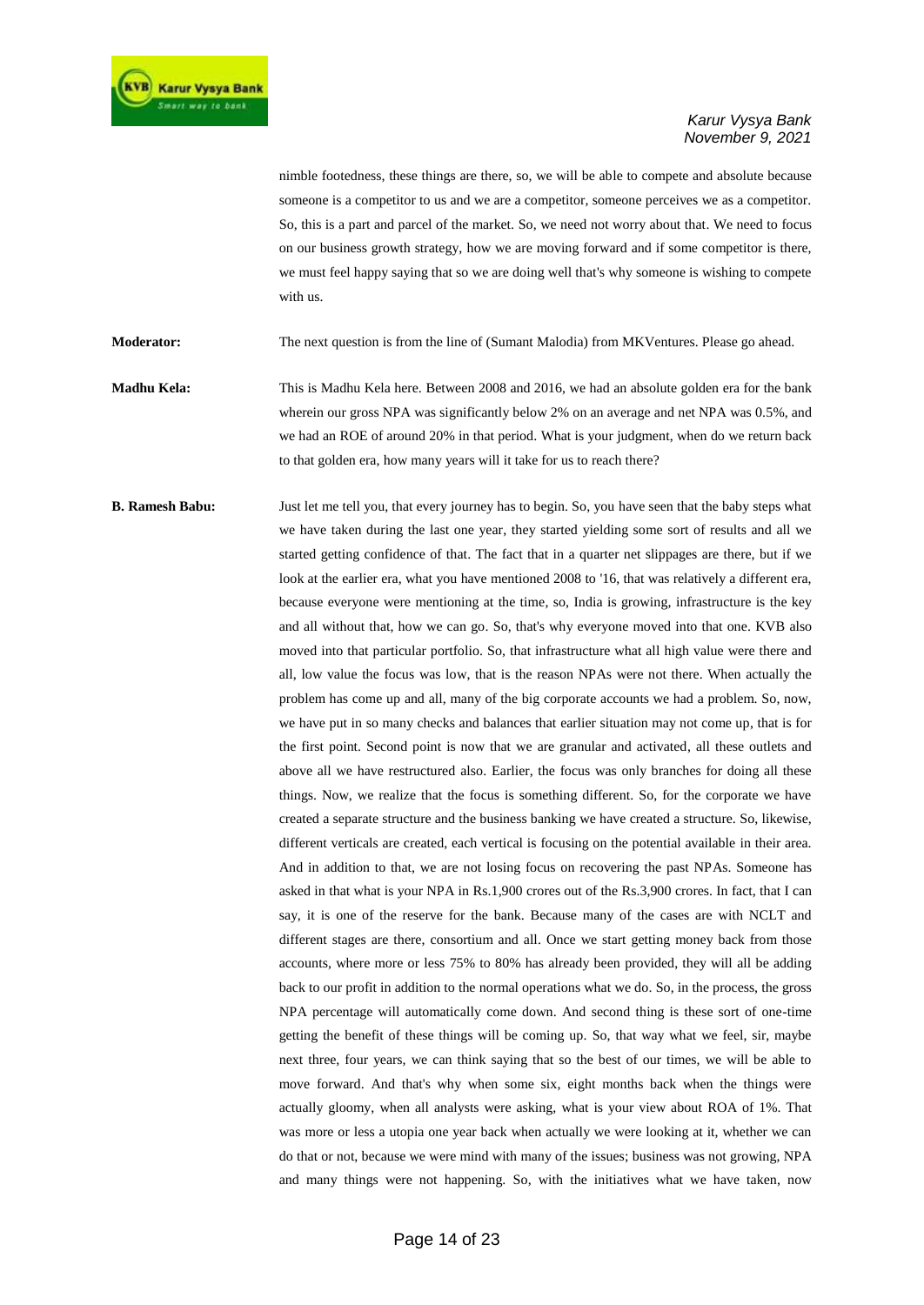

nimble footedness, these things are there, so, we will be able to compete and absolute because someone is a competitor to us and we are a competitor, someone perceives we as a competitor. So, this is a part and parcel of the market. So, we need not worry about that. We need to focus on our business growth strategy, how we are moving forward and if some competitor is there, we must feel happy saying that so we are doing well that's why someone is wishing to compete with us.

**Moderator:** The next question is from the line of (Sumant Malodia) from MKVentures. Please go ahead.

**Madhu Kela:** This is Madhu Kela here. Between 2008 and 2016, we had an absolute golden era for the bank wherein our gross NPA was significantly below 2% on an average and net NPA was 0.5%, and we had an ROE of around 20% in that period. What is your judgment, when do we return back to that golden era, how many years will it take for us to reach there?

**B. Ramesh Babu:** Just let me tell you, that every journey has to begin. So, you have seen that the baby steps what we have taken during the last one year, they started yielding some sort of results and all we started getting confidence of that. The fact that in a quarter net slippages are there, but if we look at the earlier era, what you have mentioned 2008 to '16, that was relatively a different era, because everyone were mentioning at the time, so, India is growing, infrastructure is the key and all without that, how we can go. So, that's why everyone moved into that one. KVB also moved into that particular portfolio. So, that infrastructure what all high value were there and all, low value the focus was low, that is the reason NPAs were not there. When actually the problem has come up and all, many of the big corporate accounts we had a problem. So, now, we have put in so many checks and balances that earlier situation may not come up, that is for the first point. Second point is now that we are granular and activated, all these outlets and above all we have restructured also. Earlier, the focus was only branches for doing all these things. Now, we realize that the focus is something different. So, for the corporate we have created a separate structure and the business banking we have created a structure. So, likewise, different verticals are created, each vertical is focusing on the potential available in their area. And in addition to that, we are not losing focus on recovering the past NPAs. Someone has asked in that what is your NPA in Rs.1,900 crores out of the Rs.3,900 crores. In fact, that I can say, it is one of the reserve for the bank. Because many of the cases are with NCLT and different stages are there, consortium and all. Once we start getting money back from those accounts, where more or less 75% to 80% has already been provided, they will all be adding back to our profit in addition to the normal operations what we do. So, in the process, the gross NPA percentage will automatically come down. And second thing is these sort of one-time getting the benefit of these things will be coming up. So, that way what we feel, sir, maybe next three, four years, we can think saying that so the best of our times, we will be able to move forward. And that's why when some six, eight months back when the things were actually gloomy, when all analysts were asking, what is your view about ROA of 1%. That was more or less a utopia one year back when actually we were looking at it, whether we can do that or not, because we were mind with many of the issues; business was not growing, NPA and many things were not happening. So, with the initiatives what we have taken, now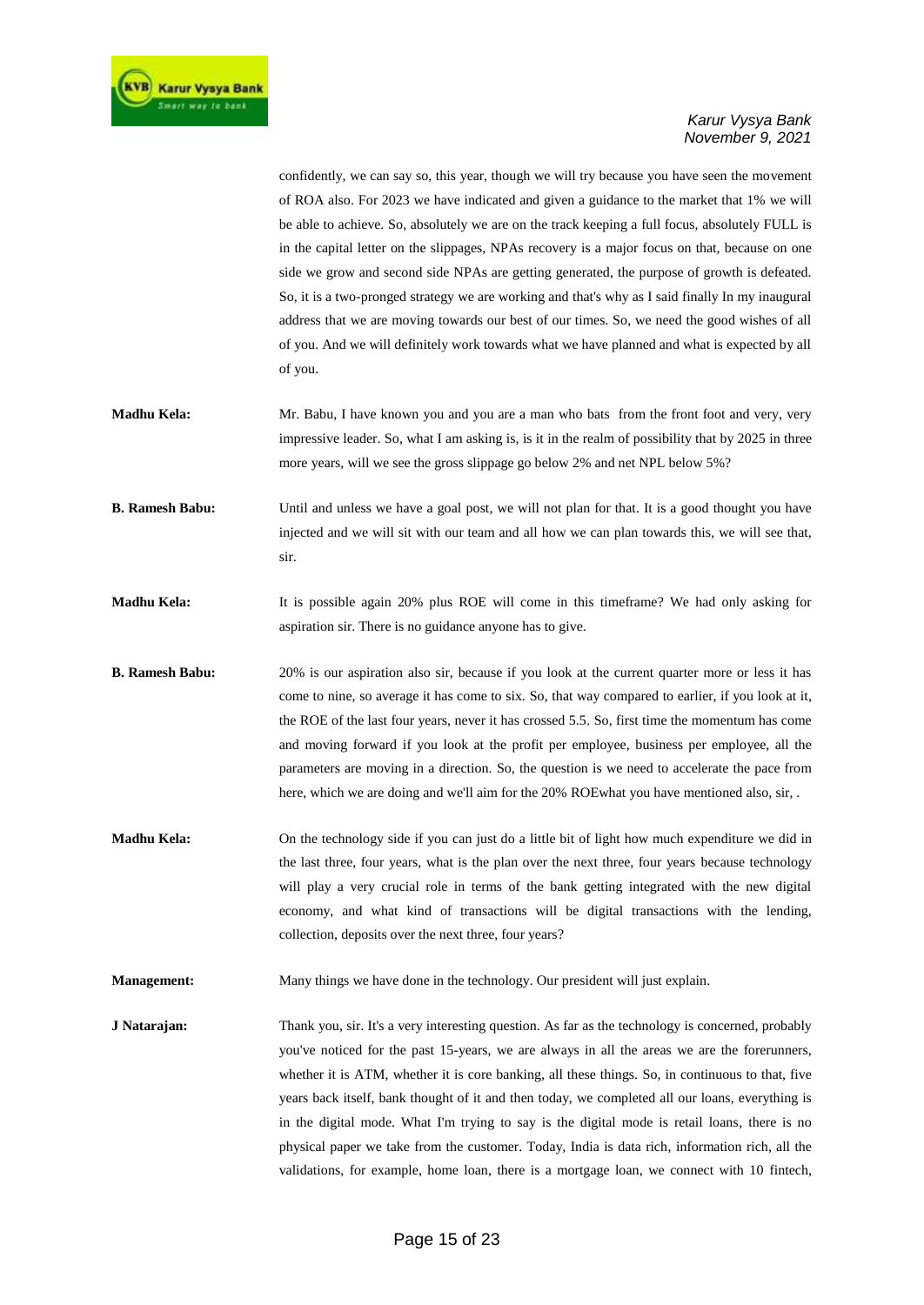confidently, we can say so, this year, though we will try because you have seen the movement of ROA also. For 2023 we have indicated and given a guidance to the market that 1% we will be able to achieve. So, absolutely we are on the track keeping a full focus, absolutely FULL is in the capital letter on the slippages, NPAs recovery is a major focus on that, because on one side we grow and second side NPAs are getting generated, the purpose of growth is defeated. So, it is a two-pronged strategy we are working and that's why as I said finally In my inaugural address that we are moving towards our best of our times. So, we need the good wishes of all of you. And we will definitely work towards what we have planned and what is expected by all of you.

- **Madhu Kela:** Mr. Babu, I have known you and you are a man who bats from the front foot and very, very impressive leader. So, what I am asking is, is it in the realm of possibility that by 2025 in three more years, will we see the gross slippage go below 2% and net NPL below 5%?
- **B. Ramesh Babu:** Until and unless we have a goal post, we will not plan for that. It is a good thought you have injected and we will sit with our team and all how we can plan towards this, we will see that, sir.
- **Madhu Kela:** It is possible again 20% plus ROE will come in this timeframe? We had only asking for aspiration sir. There is no guidance anyone has to give.
- **B. Ramesh Babu:** 20% is our aspiration also sir, because if you look at the current quarter more or less it has come to nine, so average it has come to six. So, that way compared to earlier, if you look at it, the ROE of the last four years, never it has crossed 5.5. So, first time the momentum has come and moving forward if you look at the profit per employee, business per employee, all the parameters are moving in a direction. So, the question is we need to accelerate the pace from here, which we are doing and we'll aim for the 20% ROEwhat you have mentioned also, sir, .
- **Madhu Kela:** On the technology side if you can just do a little bit of light how much expenditure we did in the last three, four years, what is the plan over the next three, four years because technology will play a very crucial role in terms of the bank getting integrated with the new digital economy, and what kind of transactions will be digital transactions with the lending, collection, deposits over the next three, four years?
- **Management:** Many things we have done in the technology. Our president will just explain.

**J Natarajan:** Thank you, sir. It's a very interesting question. As far as the technology is concerned, probably you've noticed for the past 15-years, we are always in all the areas we are the forerunners, whether it is ATM, whether it is core banking, all these things. So, in continuous to that, five years back itself, bank thought of it and then today, we completed all our loans, everything is in the digital mode. What I'm trying to say is the digital mode is retail loans, there is no physical paper we take from the customer. Today, India is data rich, information rich, all the validations, for example, home loan, there is a mortgage loan, we connect with 10 fintech,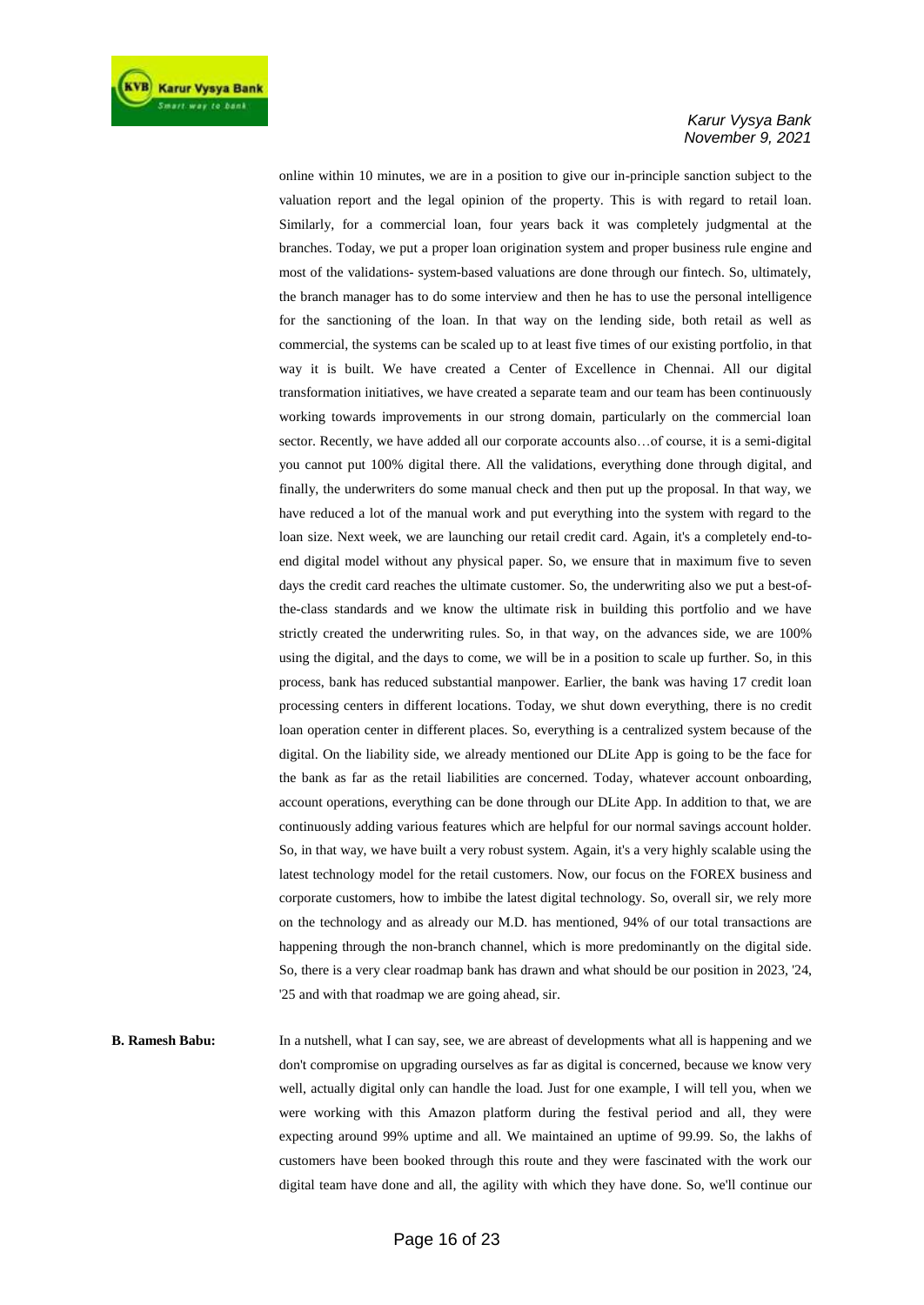online within 10 minutes, we are in a position to give our in-principle sanction subject to the valuation report and the legal opinion of the property. This is with regard to retail loan. Similarly, for a commercial loan, four years back it was completely judgmental at the branches. Today, we put a proper loan origination system and proper business rule engine and most of the validations- system-based valuations are done through our fintech. So, ultimately, the branch manager has to do some interview and then he has to use the personal intelligence for the sanctioning of the loan. In that way on the lending side, both retail as well as commercial, the systems can be scaled up to at least five times of our existing portfolio, in that way it is built. We have created a Center of Excellence in Chennai. All our digital transformation initiatives, we have created a separate team and our team has been continuously working towards improvements in our strong domain, particularly on the commercial loan sector. Recently, we have added all our corporate accounts also…of course, it is a semi-digital you cannot put 100% digital there. All the validations, everything done through digital, and finally, the underwriters do some manual check and then put up the proposal. In that way, we have reduced a lot of the manual work and put everything into the system with regard to the loan size. Next week, we are launching our retail credit card. Again, it's a completely end-toend digital model without any physical paper. So, we ensure that in maximum five to seven days the credit card reaches the ultimate customer. So, the underwriting also we put a best-ofthe-class standards and we know the ultimate risk in building this portfolio and we have strictly created the underwriting rules. So, in that way, on the advances side, we are 100% using the digital, and the days to come, we will be in a position to scale up further. So, in this process, bank has reduced substantial manpower. Earlier, the bank was having 17 credit loan processing centers in different locations. Today, we shut down everything, there is no credit loan operation center in different places. So, everything is a centralized system because of the digital. On the liability side, we already mentioned our DLite App is going to be the face for the bank as far as the retail liabilities are concerned. Today, whatever account onboarding, account operations, everything can be done through our DLite App. In addition to that, we are continuously adding various features which are helpful for our normal savings account holder. So, in that way, we have built a very robust system. Again, it's a very highly scalable using the latest technology model for the retail customers. Now, our focus on the FOREX business and corporate customers, how to imbibe the latest digital technology. So, overall sir, we rely more on the technology and as already our M.D. has mentioned, 94% of our total transactions are happening through the non-branch channel, which is more predominantly on the digital side. So, there is a very clear roadmap bank has drawn and what should be our position in 2023, '24, '25 and with that roadmap we are going ahead, sir.

**B. Ramesh Babu:** In a nutshell, what I can say, see, we are abreast of developments what all is happening and we don't compromise on upgrading ourselves as far as digital is concerned, because we know very well, actually digital only can handle the load. Just for one example, I will tell you, when we were working with this Amazon platform during the festival period and all, they were expecting around 99% uptime and all. We maintained an uptime of 99.99. So, the lakhs of customers have been booked through this route and they were fascinated with the work our digital team have done and all, the agility with which they have done. So, we'll continue our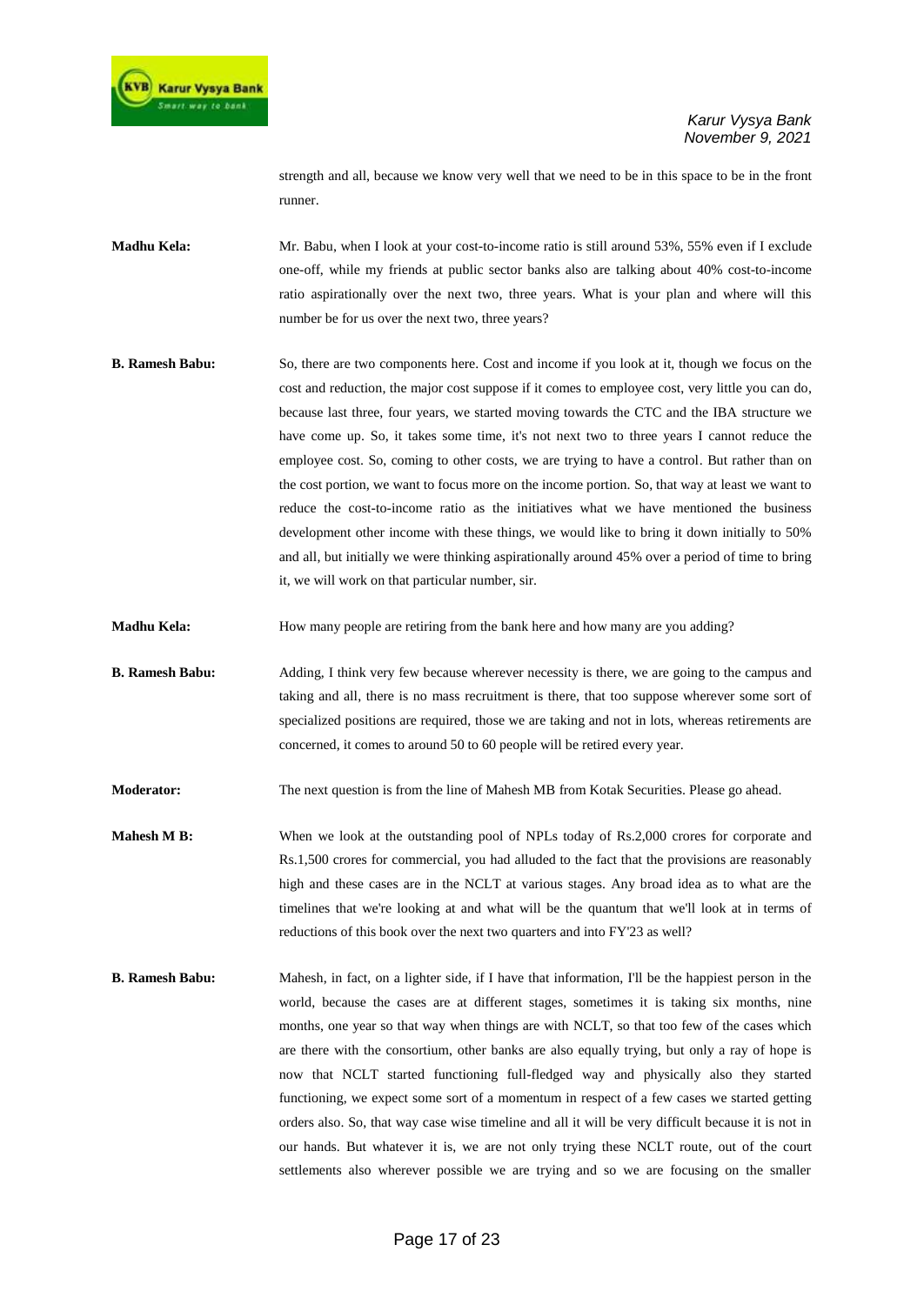

strength and all, because we know very well that we need to be in this space to be in the front runner.

**Madhu Kela:** Mr. Babu, when I look at your cost-to-income ratio is still around 53%, 55% even if I exclude one-off, while my friends at public sector banks also are talking about 40% cost-to-income ratio aspirationally over the next two, three years. What is your plan and where will this number be for us over the next two, three years?

**B. Ramesh Babu:** So, there are two components here. Cost and income if you look at it, though we focus on the cost and reduction, the major cost suppose if it comes to employee cost, very little you can do, because last three, four years, we started moving towards the CTC and the IBA structure we have come up. So, it takes some time, it's not next two to three years I cannot reduce the employee cost. So, coming to other costs, we are trying to have a control. But rather than on the cost portion, we want to focus more on the income portion. So, that way at least we want to reduce the cost-to-income ratio as the initiatives what we have mentioned the business development other income with these things, we would like to bring it down initially to 50% and all, but initially we were thinking aspirationally around 45% over a period of time to bring it, we will work on that particular number, sir.

**Madhu Kela:** How many people are retiring from the bank here and how many are you adding?

**B. Ramesh Babu:** Adding, I think very few because wherever necessity is there, we are going to the campus and taking and all, there is no mass recruitment is there, that too suppose wherever some sort of specialized positions are required, those we are taking and not in lots, whereas retirements are concerned, it comes to around 50 to 60 people will be retired every year.

**Moderator:** The next question is from the line of Mahesh MB from Kotak Securities. Please go ahead.

- **Mahesh M B:** When we look at the outstanding pool of NPLs today of Rs.2,000 crores for corporate and Rs.1,500 crores for commercial, you had alluded to the fact that the provisions are reasonably high and these cases are in the NCLT at various stages. Any broad idea as to what are the timelines that we're looking at and what will be the quantum that we'll look at in terms of reductions of this book over the next two quarters and into FY'23 as well?
- **B. Ramesh Babu:** Mahesh, in fact, on a lighter side, if I have that information, I'll be the happiest person in the world, because the cases are at different stages, sometimes it is taking six months, nine months, one year so that way when things are with NCLT, so that too few of the cases which are there with the consortium, other banks are also equally trying, but only a ray of hope is now that NCLT started functioning full-fledged way and physically also they started functioning, we expect some sort of a momentum in respect of a few cases we started getting orders also. So, that way case wise timeline and all it will be very difficult because it is not in our hands. But whatever it is, we are not only trying these NCLT route, out of the court settlements also wherever possible we are trying and so we are focusing on the smaller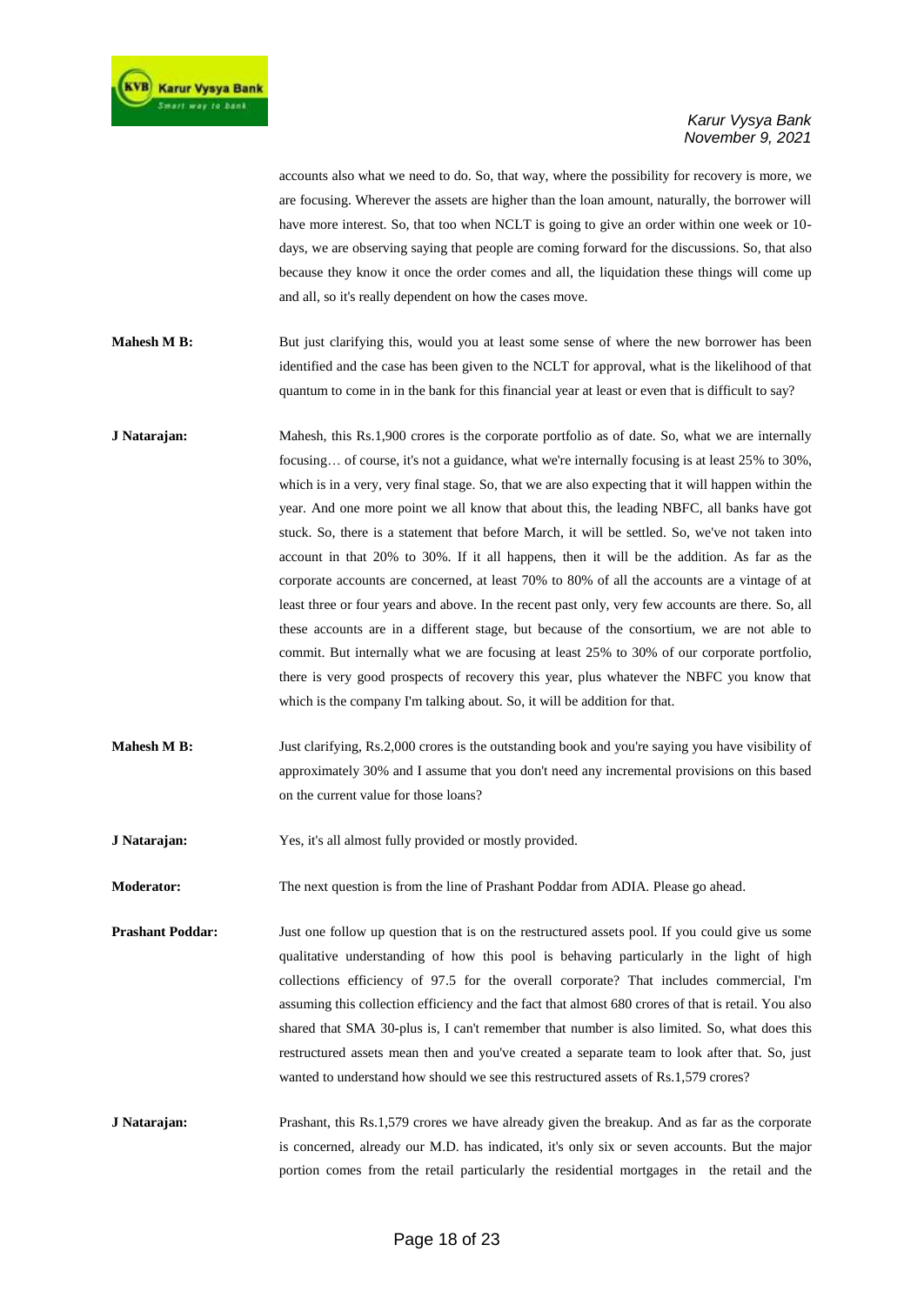accounts also what we need to do. So, that way, where the possibility for recovery is more, we are focusing. Wherever the assets are higher than the loan amount, naturally, the borrower will have more interest. So, that too when NCLT is going to give an order within one week or 10 days, we are observing saying that people are coming forward for the discussions. So, that also because they know it once the order comes and all, the liquidation these things will come up and all, so it's really dependent on how the cases move.

- **Mahesh M B:** But just clarifying this, would you at least some sense of where the new borrower has been identified and the case has been given to the NCLT for approval, what is the likelihood of that quantum to come in in the bank for this financial year at least or even that is difficult to say?
- **J Natarajan:** Mahesh, this Rs.1,900 crores is the corporate portfolio as of date. So, what we are internally focusing… of course, it's not a guidance, what we're internally focusing is at least 25% to 30%, which is in a very, very final stage. So, that we are also expecting that it will happen within the year. And one more point we all know that about this, the leading NBFC, all banks have got stuck. So, there is a statement that before March, it will be settled. So, we've not taken into account in that 20% to 30%. If it all happens, then it will be the addition. As far as the corporate accounts are concerned, at least 70% to 80% of all the accounts are a vintage of at least three or four years and above. In the recent past only, very few accounts are there. So, all these accounts are in a different stage, but because of the consortium, we are not able to commit. But internally what we are focusing at least 25% to 30% of our corporate portfolio, there is very good prospects of recovery this year, plus whatever the NBFC you know that which is the company I'm talking about. So, it will be addition for that.
- **Mahesh M B:** Just clarifying, Rs.2,000 crores is the outstanding book and you're saying you have visibility of approximately 30% and I assume that you don't need any incremental provisions on this based on the current value for those loans?
- **J Natarajan:** Yes, it's all almost fully provided or mostly provided.

**Moderator:** The next question is from the line of Prashant Poddar from ADIA. Please go ahead.

**Prashant Poddar:** Just one follow up question that is on the restructured assets pool. If you could give us some qualitative understanding of how this pool is behaving particularly in the light of high collections efficiency of 97.5 for the overall corporate? That includes commercial, I'm assuming this collection efficiency and the fact that almost 680 crores of that is retail. You also shared that SMA 30-plus is, I can't remember that number is also limited. So, what does this restructured assets mean then and you've created a separate team to look after that. So, just wanted to understand how should we see this restructured assets of Rs.1,579 crores?

**J Natarajan:** Prashant, this Rs.1,579 crores we have already given the breakup. And as far as the corporate is concerned, already our M.D. has indicated, it's only six or seven accounts. But the major portion comes from the retail particularly the residential mortgages in the retail and the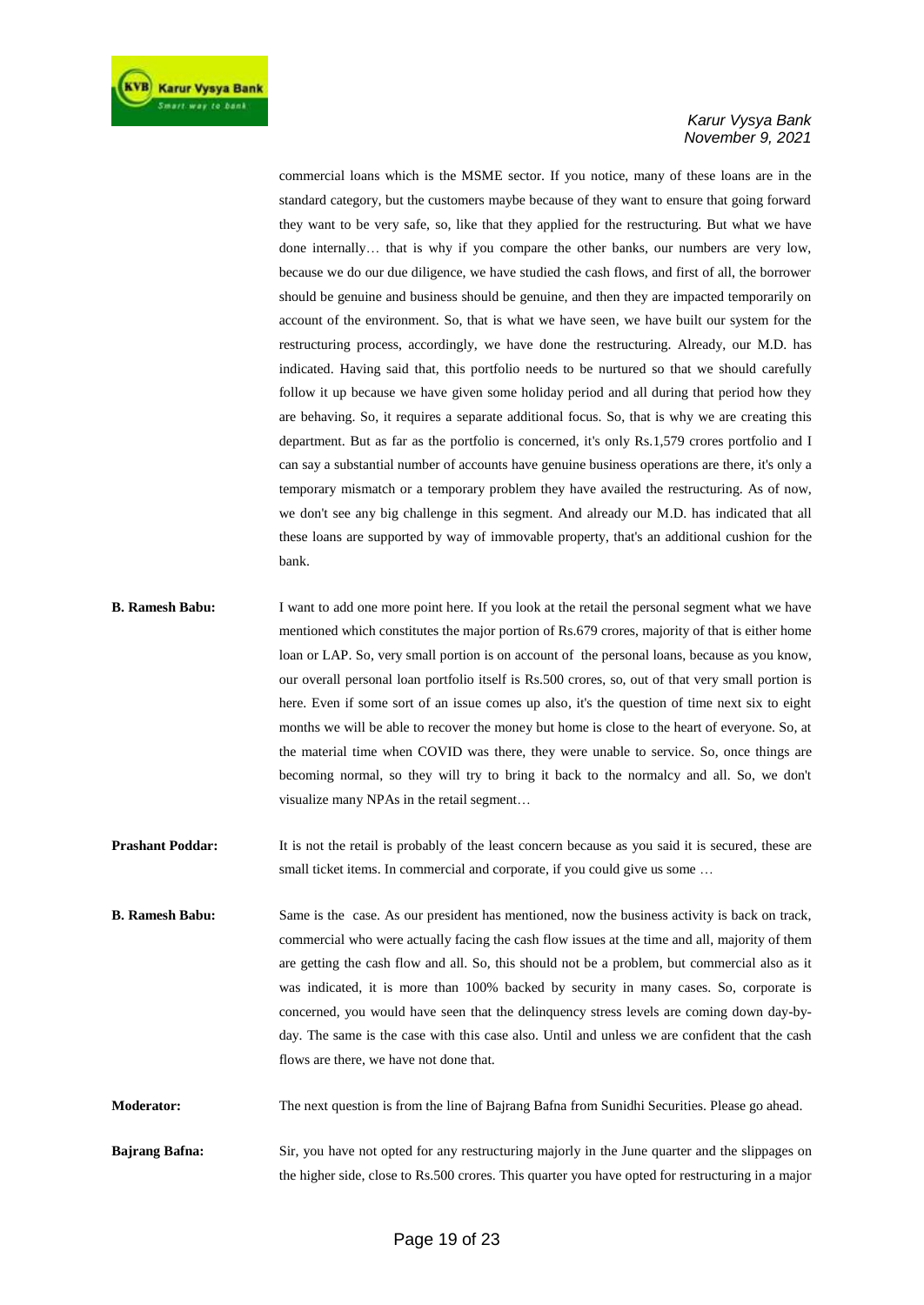

commercial loans which is the MSME sector. If you notice, many of these loans are in the standard category, but the customers maybe because of they want to ensure that going forward they want to be very safe, so, like that they applied for the restructuring. But what we have done internally… that is why if you compare the other banks, our numbers are very low, because we do our due diligence, we have studied the cash flows, and first of all, the borrower should be genuine and business should be genuine, and then they are impacted temporarily on account of the environment. So, that is what we have seen, we have built our system for the restructuring process, accordingly, we have done the restructuring. Already, our M.D. has indicated. Having said that, this portfolio needs to be nurtured so that we should carefully follow it up because we have given some holiday period and all during that period how they are behaving. So, it requires a separate additional focus. So, that is why we are creating this department. But as far as the portfolio is concerned, it's only Rs.1,579 crores portfolio and I can say a substantial number of accounts have genuine business operations are there, it's only a temporary mismatch or a temporary problem they have availed the restructuring. As of now, we don't see any big challenge in this segment. And already our M.D. has indicated that all these loans are supported by way of immovable property, that's an additional cushion for the bank.

- **B. Ramesh Babu:** I want to add one more point here. If you look at the retail the personal segment what we have mentioned which constitutes the major portion of Rs.679 crores, majority of that is either home loan or LAP. So, very small portion is on account of the personal loans, because as you know, our overall personal loan portfolio itself is Rs.500 crores, so, out of that very small portion is here. Even if some sort of an issue comes up also, it's the question of time next six to eight months we will be able to recover the money but home is close to the heart of everyone. So, at the material time when COVID was there, they were unable to service. So, once things are becoming normal, so they will try to bring it back to the normalcy and all. So, we don't visualize many NPAs in the retail segment…
- **Prashant Poddar:** It is not the retail is probably of the least concern because as you said it is secured, these are small ticket items. In commercial and corporate, if you could give us some ...
- **B. Ramesh Babu:** Same is the case. As our president has mentioned, now the business activity is back on track, commercial who were actually facing the cash flow issues at the time and all, majority of them are getting the cash flow and all. So, this should not be a problem, but commercial also as it was indicated, it is more than 100% backed by security in many cases. So, corporate is concerned, you would have seen that the delinquency stress levels are coming down day-byday. The same is the case with this case also. Until and unless we are confident that the cash flows are there, we have not done that.
- **Moderator:** The next question is from the line of Bajrang Bafna from Sunidhi Securities. Please go ahead.
- **Bajrang Bafna:** Sir, you have not opted for any restructuring majorly in the June quarter and the slippages on the higher side, close to Rs.500 crores. This quarter you have opted for restructuring in a major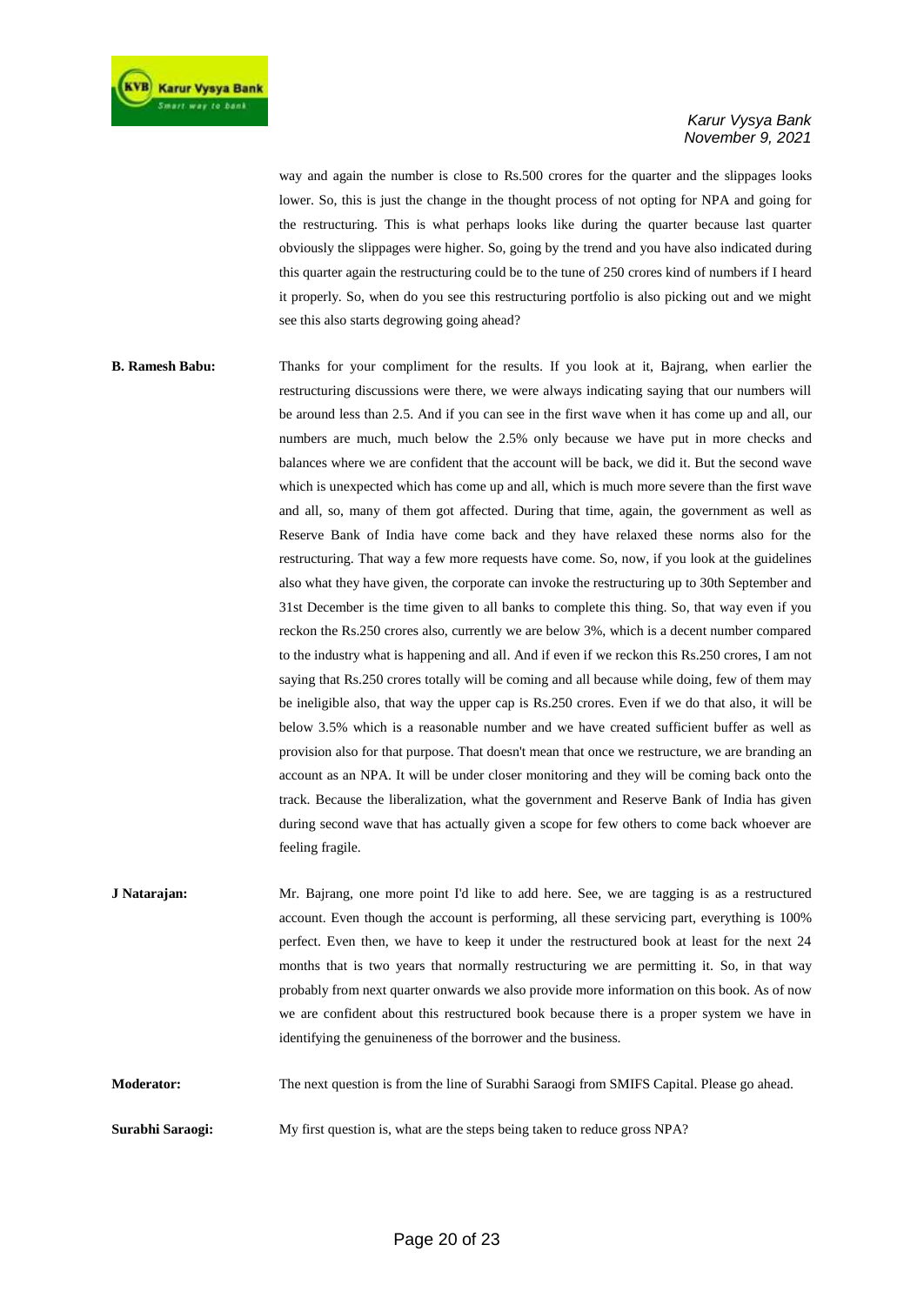way and again the number is close to Rs.500 crores for the quarter and the slippages looks lower. So, this is just the change in the thought process of not opting for NPA and going for the restructuring. This is what perhaps looks like during the quarter because last quarter obviously the slippages were higher. So, going by the trend and you have also indicated during this quarter again the restructuring could be to the tune of 250 crores kind of numbers if I heard it properly. So, when do you see this restructuring portfolio is also picking out and we might see this also starts degrowing going ahead?

**B. Ramesh Babu:** Thanks for your compliment for the results. If you look at it, Bajrang, when earlier the restructuring discussions were there, we were always indicating saying that our numbers will be around less than 2.5. And if you can see in the first wave when it has come up and all, our numbers are much, much below the 2.5% only because we have put in more checks and balances where we are confident that the account will be back, we did it. But the second wave which is unexpected which has come up and all, which is much more severe than the first wave and all, so, many of them got affected. During that time, again, the government as well as Reserve Bank of India have come back and they have relaxed these norms also for the restructuring. That way a few more requests have come. So, now, if you look at the guidelines also what they have given, the corporate can invoke the restructuring up to 30th September and 31st December is the time given to all banks to complete this thing. So, that way even if you reckon the Rs.250 crores also, currently we are below 3%, which is a decent number compared to the industry what is happening and all. And if even if we reckon this Rs.250 crores, I am not saying that Rs.250 crores totally will be coming and all because while doing, few of them may be ineligible also, that way the upper cap is Rs.250 crores. Even if we do that also, it will be below 3.5% which is a reasonable number and we have created sufficient buffer as well as provision also for that purpose. That doesn't mean that once we restructure, we are branding an account as an NPA. It will be under closer monitoring and they will be coming back onto the track. Because the liberalization, what the government and Reserve Bank of India has given during second wave that has actually given a scope for few others to come back whoever are feeling fragile.

**J Natarajan:** Mr. Bajrang, one more point I'd like to add here. See, we are tagging is as a restructured account. Even though the account is performing, all these servicing part, everything is 100% perfect. Even then, we have to keep it under the restructured book at least for the next 24 months that is two years that normally restructuring we are permitting it. So, in that way probably from next quarter onwards we also provide more information on this book. As of now we are confident about this restructured book because there is a proper system we have in identifying the genuineness of the borrower and the business.

**Moderator:** The next question is from the line of Surabhi Saraogi from SMIFS Capital. Please go ahead.

**Surabhi Saraogi:** My first question is, what are the steps being taken to reduce gross NPA?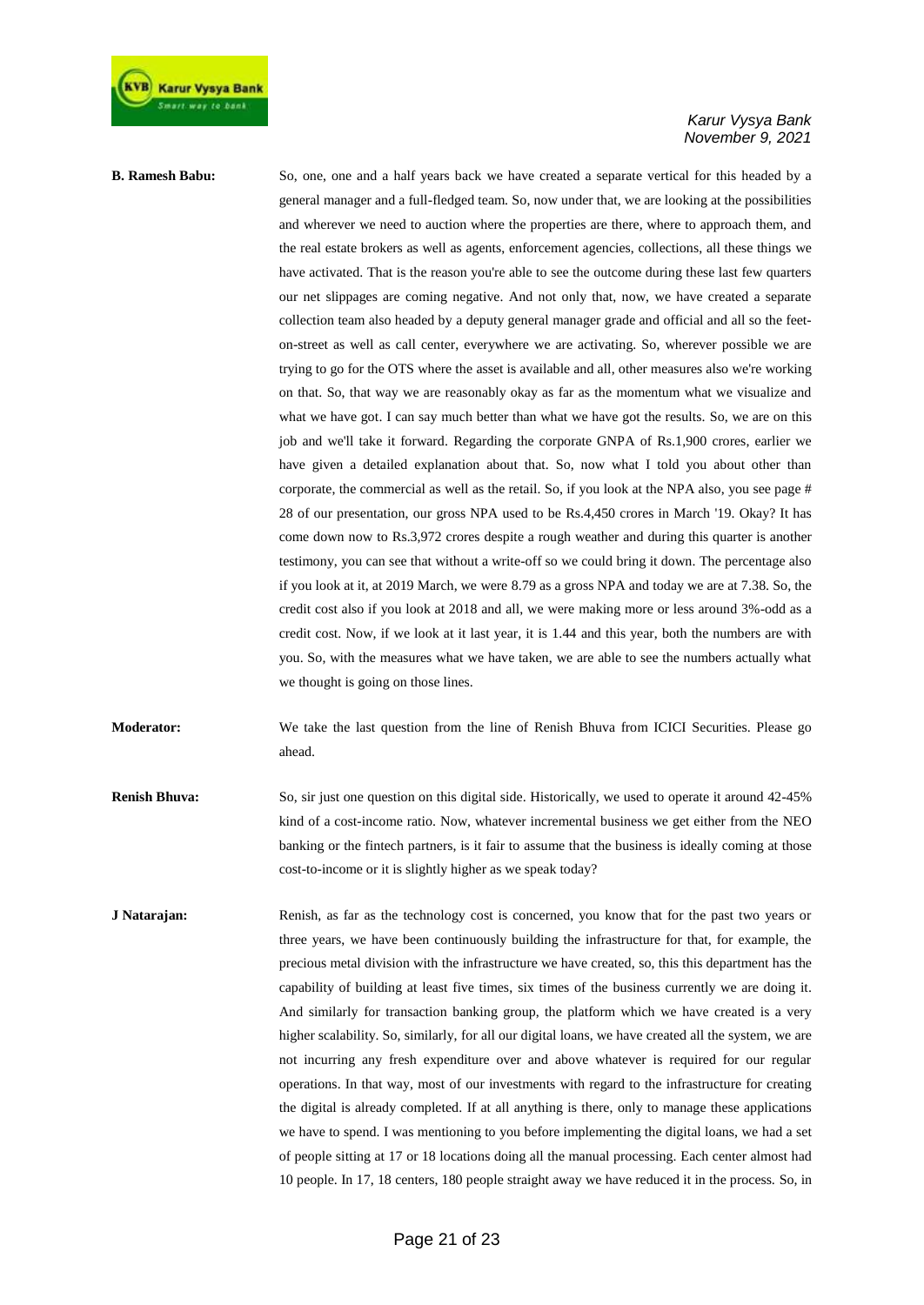

**B. Ramesh Babu:** So, one, one and a half years back we have created a separate vertical for this headed by a general manager and a full-fledged team. So, now under that, we are looking at the possibilities and wherever we need to auction where the properties are there, where to approach them, and the real estate brokers as well as agents, enforcement agencies, collections, all these things we have activated. That is the reason you're able to see the outcome during these last few quarters our net slippages are coming negative. And not only that, now, we have created a separate collection team also headed by a deputy general manager grade and official and all so the feeton-street as well as call center, everywhere we are activating. So, wherever possible we are trying to go for the OTS where the asset is available and all, other measures also we're working on that. So, that way we are reasonably okay as far as the momentum what we visualize and what we have got. I can say much better than what we have got the results. So, we are on this job and we'll take it forward. Regarding the corporate GNPA of Rs.1,900 crores, earlier we have given a detailed explanation about that. So, now what I told you about other than corporate, the commercial as well as the retail. So, if you look at the NPA also, you see page # 28 of our presentation, our gross NPA used to be Rs.4,450 crores in March '19. Okay? It has come down now to Rs.3,972 crores despite a rough weather and during this quarter is another testimony, you can see that without a write-off so we could bring it down. The percentage also if you look at it, at 2019 March, we were 8.79 as a gross NPA and today we are at 7.38. So, the credit cost also if you look at 2018 and all, we were making more or less around 3%-odd as a credit cost. Now, if we look at it last year, it is 1.44 and this year, both the numbers are with you. So, with the measures what we have taken, we are able to see the numbers actually what we thought is going on those lines.

**Moderator:** We take the last question from the line of Renish Bhuva from ICICI Securities. Please go ahead.

**Renish Bhuva:** So, sir just one question on this digital side. Historically, we used to operate it around 42-45% kind of a cost-income ratio. Now, whatever incremental business we get either from the NEO banking or the fintech partners, is it fair to assume that the business is ideally coming at those cost-to-income or it is slightly higher as we speak today?

**J Natarajan:** Renish, as far as the technology cost is concerned, you know that for the past two years or three years, we have been continuously building the infrastructure for that, for example, the precious metal division with the infrastructure we have created, so, this this department has the capability of building at least five times, six times of the business currently we are doing it. And similarly for transaction banking group, the platform which we have created is a very higher scalability. So, similarly, for all our digital loans, we have created all the system, we are not incurring any fresh expenditure over and above whatever is required for our regular operations. In that way, most of our investments with regard to the infrastructure for creating the digital is already completed. If at all anything is there, only to manage these applications we have to spend. I was mentioning to you before implementing the digital loans, we had a set of people sitting at 17 or 18 locations doing all the manual processing. Each center almost had 10 people. In 17, 18 centers, 180 people straight away we have reduced it in the process. So, in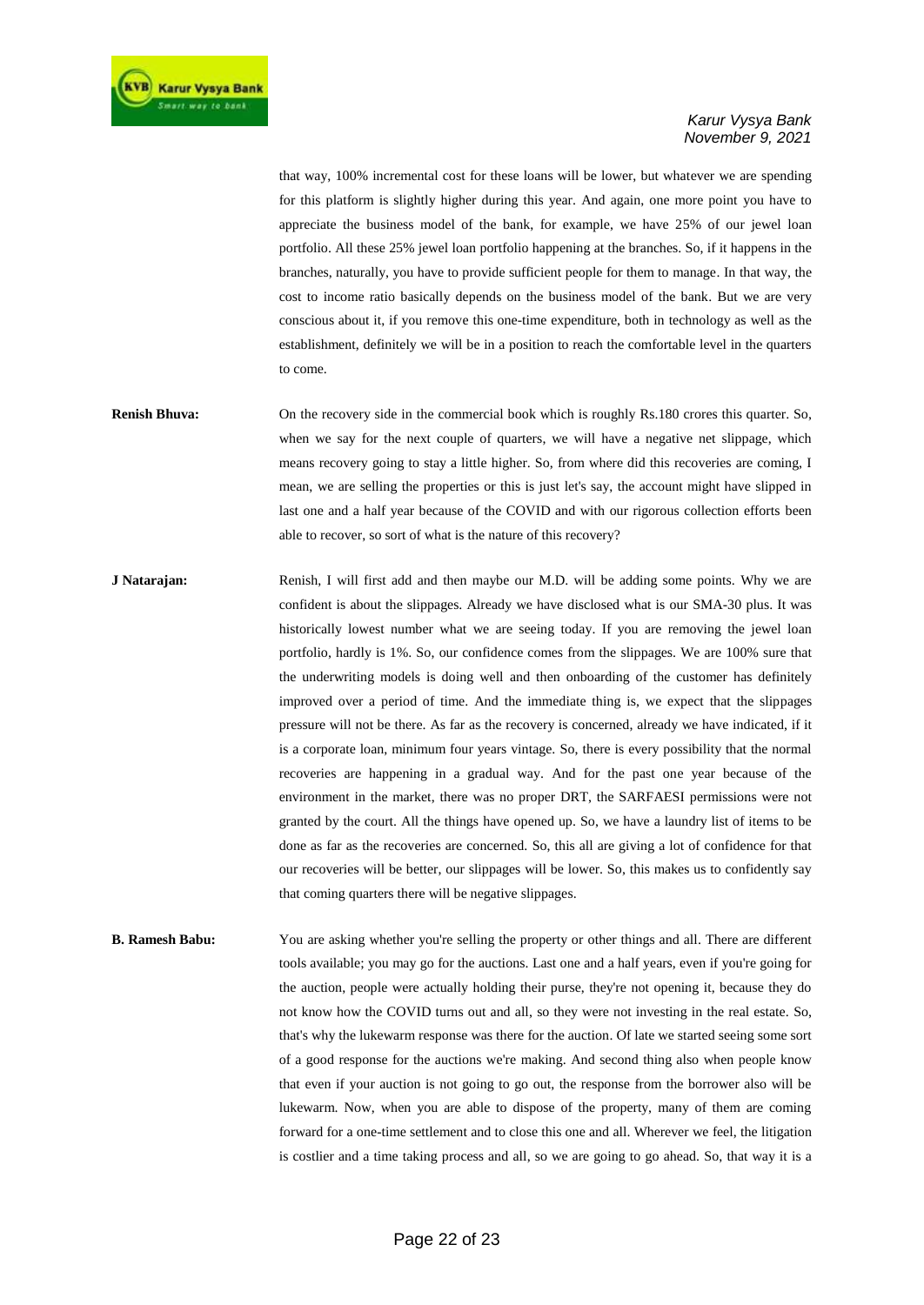that way, 100% incremental cost for these loans will be lower, but whatever we are spending for this platform is slightly higher during this year. And again, one more point you have to appreciate the business model of the bank, for example, we have 25% of our jewel loan portfolio. All these 25% jewel loan portfolio happening at the branches. So, if it happens in the branches, naturally, you have to provide sufficient people for them to manage. In that way, the cost to income ratio basically depends on the business model of the bank. But we are very conscious about it, if you remove this one-time expenditure, both in technology as well as the establishment, definitely we will be in a position to reach the comfortable level in the quarters to come.

- **Renish Bhuva:** On the recovery side in the commercial book which is roughly Rs.180 crores this quarter. So, when we say for the next couple of quarters, we will have a negative net slippage, which means recovery going to stay a little higher. So, from where did this recoveries are coming, I mean, we are selling the properties or this is just let's say, the account might have slipped in last one and a half year because of the COVID and with our rigorous collection efforts been able to recover, so sort of what is the nature of this recovery?
- **J Natarajan:** Renish, I will first add and then maybe our M.D. will be adding some points. Why we are confident is about the slippages. Already we have disclosed what is our SMA-30 plus. It was historically lowest number what we are seeing today. If you are removing the jewel loan portfolio, hardly is 1%. So, our confidence comes from the slippages. We are 100% sure that the underwriting models is doing well and then onboarding of the customer has definitely improved over a period of time. And the immediate thing is, we expect that the slippages pressure will not be there. As far as the recovery is concerned, already we have indicated, if it is a corporate loan, minimum four years vintage. So, there is every possibility that the normal recoveries are happening in a gradual way. And for the past one year because of the environment in the market, there was no proper DRT, the SARFAESI permissions were not granted by the court. All the things have opened up. So, we have a laundry list of items to be done as far as the recoveries are concerned. So, this all are giving a lot of confidence for that our recoveries will be better, our slippages will be lower. So, this makes us to confidently say that coming quarters there will be negative slippages.
- **B. Ramesh Babu:** You are asking whether you're selling the property or other things and all. There are different tools available; you may go for the auctions. Last one and a half years, even if you're going for the auction, people were actually holding their purse, they're not opening it, because they do not know how the COVID turns out and all, so they were not investing in the real estate. So, that's why the lukewarm response was there for the auction. Of late we started seeing some sort of a good response for the auctions we're making. And second thing also when people know that even if your auction is not going to go out, the response from the borrower also will be lukewarm. Now, when you are able to dispose of the property, many of them are coming forward for a one-time settlement and to close this one and all. Wherever we feel, the litigation is costlier and a time taking process and all, so we are going to go ahead. So, that way it is a